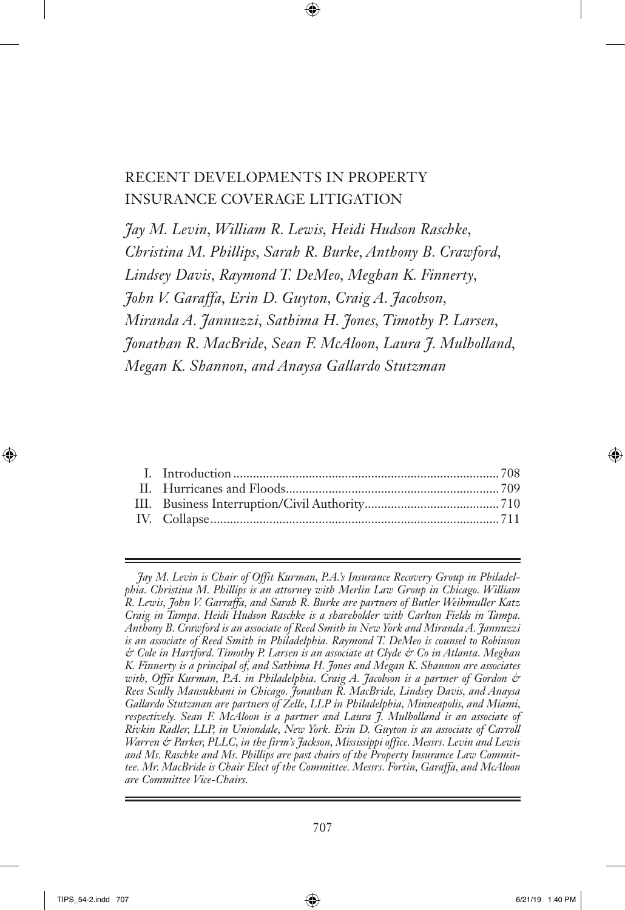# Recent Developments in Property Insurance Coverage Litigation

*Jay M. Levin, William R. Lewis, Heidi Hudson Raschke, Christina M. Phillips, Sarah R. Burke, Anthony B. Crawford, Lindsey Davis, Raymond T. DeMeo, Meghan K. Finnerty, John V. Garaffa, Erin D. Guyton, Craig A. Jacobson, Miranda A. Jannuzzi, Sathima H. Jones, Timothy P. Larsen, Jonathan R. MacBride, Sean F. McAloon, Laura J. Mulholland, Megan K. Shannon, and Anaysa Gallardo Stutzman*

*Jay M. Levin is Chair of Offit Kurman, P.A.'s Insurance Recovery Group in Philadelphia. Christina M. Phillips is an attorney with Merlin Law Group in Chicago. William R. Lewis, John V. Garraffa, and Sarah R. Burke are partners of Butler Weihmuller Katz Craig in Tampa. Heidi Hudson Raschke is a shareholder with Carlton Fields in Tampa. Anthony B. Crawford is an associate of Reed Smith in New York and Miranda A. Jannuzzi is an associate of Reed Smith in Philadelphia. Raymond T. DeMeo is counsel to Robinson & Cole in Hartford. Timothy P. Larsen is an associate at Clyde & Co in Atlanta. Meghan K. Finnerty is a principal of, and Sathima H. Jones and Megan K. Shannon are associates with, Offit Kurman, P.A. in Philadelphia. Craig A. Jacobson is a partner of Gordon & Rees Scully Mansukhani in Chicago. Jonathan R. MacBride, Lindsey Davis, and Anaysa Gallardo Stutzman are partners of Zelle, LLP in Philadelphia, Minneapolis, and Miami, respectively. Sean F. McAloon is a partner and Laura J. Mulholland is an associate of Rivkin Radler, LLP, in Uniondale, New York. Erin D. Guyton is an associate of Carroll Warren & Parker, PLLC, in the firm's Jackson, Mississippi office. Messrs. Levin and Lewis and Ms. Raschke and Ms. Phillips are past chairs of the Property Insurance Law Committee. Mr. MacBride is Chair Elect of the Committee. Messrs. Fortin, Garaffa, and McAloon are Committee Vice-Chairs.*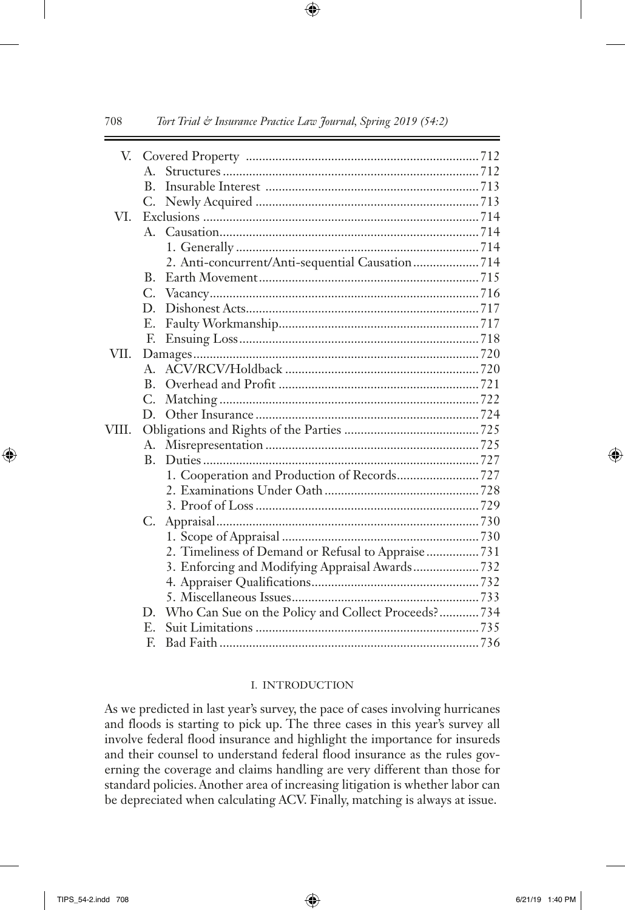|       | $A_{-}$      |                                                     |  |
|-------|--------------|-----------------------------------------------------|--|
|       | B.           |                                                     |  |
|       | C.           |                                                     |  |
| VI.   |              |                                                     |  |
|       |              |                                                     |  |
|       |              |                                                     |  |
|       |              | 2. Anti-concurrent/Anti-sequential Causation 714    |  |
|       | $B_{-}$      |                                                     |  |
|       |              |                                                     |  |
|       | $\mathbf{D}$ |                                                     |  |
|       | E.           |                                                     |  |
|       | F.           |                                                     |  |
| VII.  |              |                                                     |  |
|       | $A_{-}$      |                                                     |  |
|       | B.           |                                                     |  |
|       | C.           |                                                     |  |
|       | $\mathbf{D}$ |                                                     |  |
| VIII. |              |                                                     |  |
|       | А.           |                                                     |  |
|       | $B_{-}$      |                                                     |  |
|       |              |                                                     |  |
|       |              |                                                     |  |
|       |              |                                                     |  |
|       |              |                                                     |  |
|       |              |                                                     |  |
|       |              | 2. Timeliness of Demand or Refusal to Appraise  731 |  |
|       |              |                                                     |  |
|       |              |                                                     |  |
|       |              |                                                     |  |
|       | D.           | Who Can Sue on the Policy and Collect Proceeds? 734 |  |
|       | $E_{\rm{m}}$ |                                                     |  |
|       | F.           |                                                     |  |

#### I. Introduction

As we predicted in last year's survey, the pace of cases involving hurricanes and floods is starting to pick up. The three cases in this year's survey all involve federal flood insurance and highlight the importance for insureds and their counsel to understand federal flood insurance as the rules governing the coverage and claims handling are very different than those for standard policies. Another area of increasing litigation is whether labor can be depreciated when calculating ACV. Finally, matching is always at issue.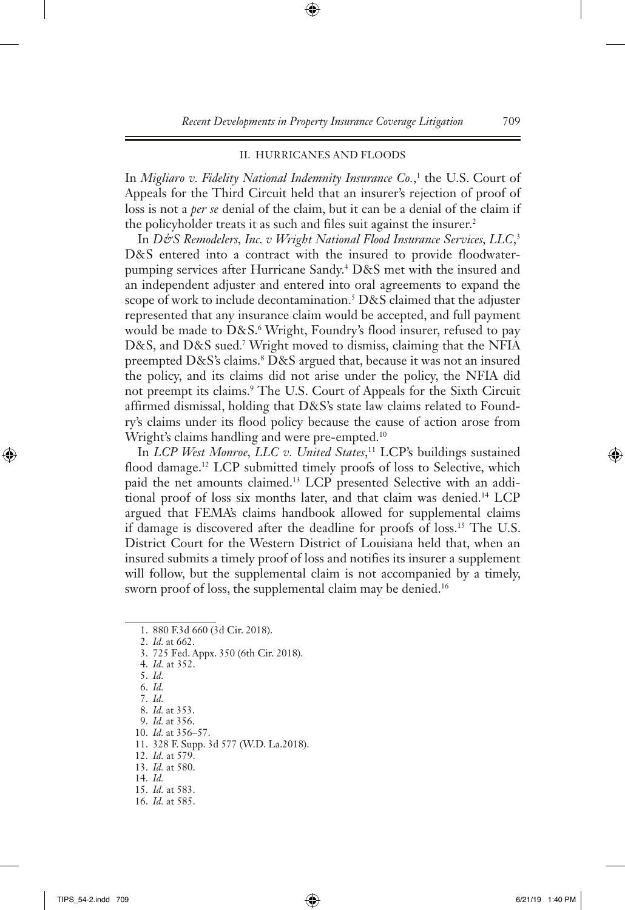# II. Hurricanes and Floods

In *Migliaro v. Fidelity National Indemnity Insurance Co.*,<sup>1</sup> the U.S. Court of Appeals for the Third Circuit held that an insurer's rejection of proof of loss is not a *per se* denial of the claim, but it can be a denial of the claim if the policyholder treats it as such and files suit against the insurer.<sup>2</sup>

In D&S Remodelers, Inc. v Wright National Flood Insurance Services, LLC,<sup>3</sup> D&S entered into a contract with the insured to provide floodwaterpumping services after Hurricane Sandy.4 D&S met with the insured and an independent adjuster and entered into oral agreements to expand the scope of work to include decontamination.<sup>5</sup>  $D&S$  claimed that the adjuster represented that any insurance claim would be accepted, and full payment would be made to D&S.<sup>6</sup> Wright, Foundry's flood insurer, refused to pay D&S, and D&S sued. <sup>7</sup> Wright moved to dismiss, claiming that the NFIA preempted D&S's claims.<sup>8</sup> D&S argued that, because it was not an insured the policy, and its claims did not arise under the policy, the NFIA did not preempt its claims.9 The U.S. Court of Appeals for the Sixth Circuit affirmed dismissal, holding that D&S's state law claims related to Foundry's claims under its flood policy because the cause of action arose from Wright's claims handling and were pre-empted.<sup>10</sup>

In *LCP West Monroe, LLC v. United States*, 11 LCP's buildings sustained flood damage.<sup>12</sup> LCP submitted timely proofs of loss to Selective, which paid the net amounts claimed.<sup>13</sup> LCP presented Selective with an additional proof of loss six months later, and that claim was denied.14 LCP argued that FEMA's claims handbook allowed for supplemental claims if damage is discovered after the deadline for proofs of loss.15 The U.S. District Court for the Western District of Louisiana held that, when an insured submits a timely proof of loss and notifies its insurer a supplement will follow, but the supplemental claim is not accompanied by a timely, sworn proof of loss, the supplemental claim may be denied.<sup>16</sup>

2. *Id.* at 662.

- 3. 725 Fed. Appx. 350 (6th Cir. 2018).
- 4. *Id.* at 352.
- 5. *Id.*
- 6. *Id.*
- 7. *Id.*
- 8. *Id.* at 353.
- 9. *Id.* at 356.
- 10. *Id.* at 356–57.
- 11. 328 F. Supp. 3d 577 (W.D. La.2018).
- 12. *Id.* at 579. 13. *Id.* at 580.
- 
- 14. *Id.*
- 15. *Id.* at 583.
- 16. *Id.* at 585.

<sup>1.</sup> 880 F.3d 660 (3d Cir. 2018).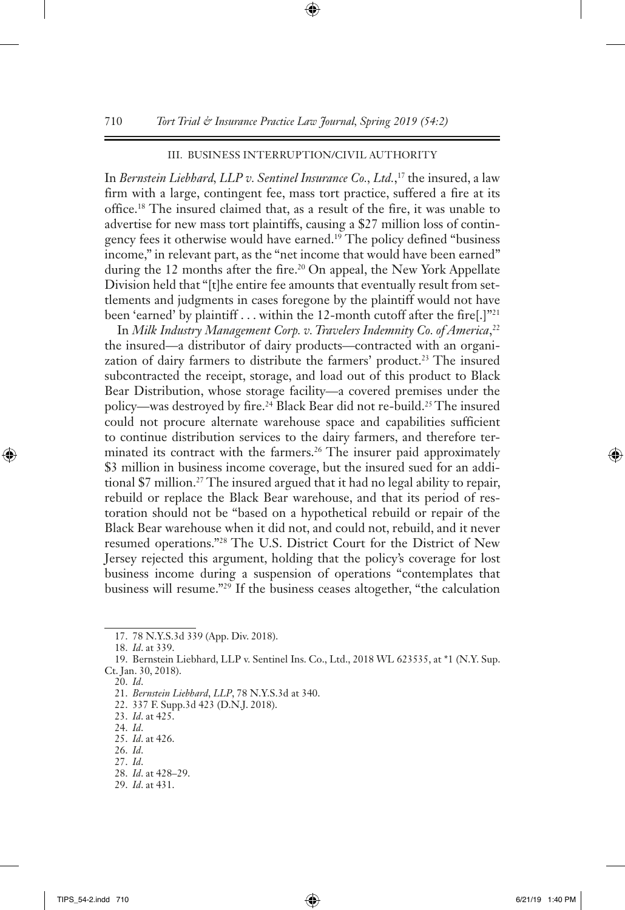# III. Business Interruption /Civil Authority

In *Bernstein Liebhard, LLP v. Sentinel Insurance Co., Ltd.*, <sup>17</sup> the insured, a law firm with a large, contingent fee, mass tort practice, suffered a fire at its office.18 The insured claimed that, as a result of the fire, it was unable to advertise for new mass tort plaintiffs, causing a \$27 million loss of contingency fees it otherwise would have earned.<sup>19</sup> The policy defined "business" income," in relevant part, as the "net income that would have been earned" during the 12 months after the fire.<sup>20</sup> On appeal, the New York Appellate Division held that "[t]he entire fee amounts that eventually result from settlements and judgments in cases foregone by the plaintiff would not have been 'earned' by plaintiff . . . within the 12-month cutoff after the fire[.]"<sup>21</sup>

In *Milk Industry Management Corp. v. Travelers Indemnity Co. of America*, 22 the insured—a distributor of dairy products—contracted with an organization of dairy farmers to distribute the farmers' product.<sup>23</sup> The insured subcontracted the receipt, storage, and load out of this product to Black Bear Distribution, whose storage facility—a covered premises under the policy—was destroyed by fire.24 Black Bear did not re-build.25 The insured could not procure alternate warehouse space and capabilities sufficient to continue distribution services to the dairy farmers, and therefore terminated its contract with the farmers.<sup>26</sup> The insurer paid approximately \$3 million in business income coverage, but the insured sued for an additional \$7 million.<sup>27</sup> The insured argued that it had no legal ability to repair, rebuild or replace the Black Bear warehouse, and that its period of restoration should not be "based on a hypothetical rebuild or repair of the Black Bear warehouse when it did not, and could not, rebuild, and it never resumed operations."28 The U.S. District Court for the District of New Jersey rejected this argument, holding that the policy's coverage for lost business income during a suspension of operations "contemplates that business will resume."29 If the business ceases altogether, "the calculation

- 25. *Id*. at 426.
- 26. *Id*.

- 28. *Id*. at 428–29.
- 29. *Id*. at 431.

<sup>17.</sup> 78 N.Y.S.3d 339 (App. Div. 2018).

<sup>18.</sup> *Id*. at 339.

<sup>19.</sup> Bernstein Liebhard, LLP v. Sentinel Ins. Co., Ltd., 2018 WL 623535, at \*1 (N.Y. Sup. Ct. Jan. 30, 2018).

<sup>20.</sup> *Id*.

<sup>21.</sup> *Bernstein Liebhard*, *LLP*, 78 N.Y.S.3d at 340.

<sup>22.</sup> 337 F. Supp.3d 423 (D.N.J. 2018).

<sup>23.</sup> *Id*. at 425.

<sup>24.</sup> *Id*.

<sup>27.</sup> *Id*.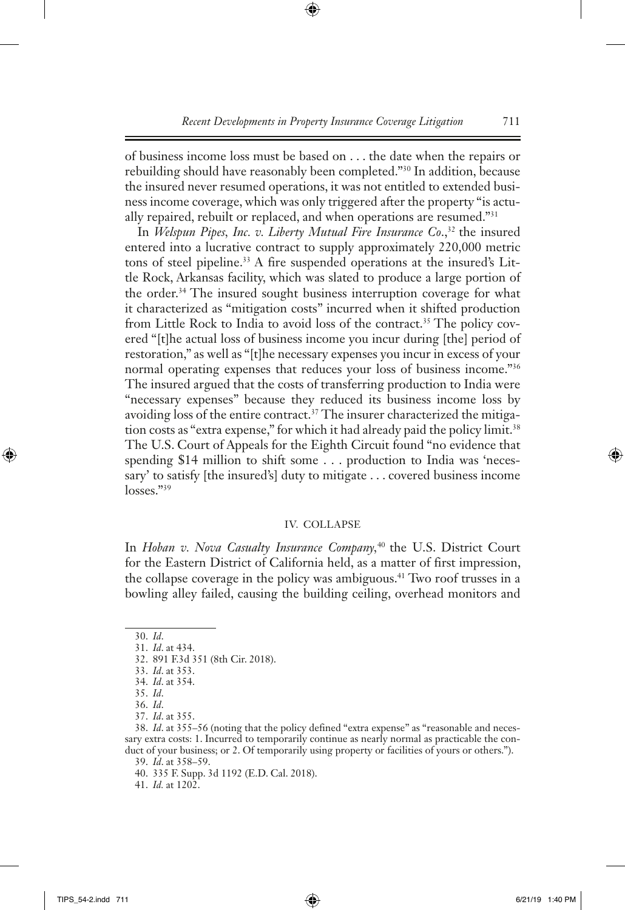of business income loss must be based on . . . the date when the repairs or rebuilding should have reasonably been completed."30 In addition, because the insured never resumed operations, it was not entitled to extended business income coverage, which was only triggered after the property "is actually repaired, rebuilt or replaced, and when operations are resumed."31

In *Welspun Pipes, Inc. v. Liberty Mutual Fire Insurance Co.*,<sup>32</sup> the insured entered into a lucrative contract to supply approximately 220,000 metric tons of steel pipeline.<sup>33</sup> A fire suspended operations at the insured's Little Rock, Arkansas facility, which was slated to produce a large portion of the order.<sup>34</sup> The insured sought business interruption coverage for what it characterized as "mitigation costs" incurred when it shifted production from Little Rock to India to avoid loss of the contract.<sup>35</sup> The policy covered "[t]he actual loss of business income you incur during [the] period of restoration," as well as "[t]he necessary expenses you incur in excess of your normal operating expenses that reduces your loss of business income."<sup>36</sup> The insured argued that the costs of transferring production to India were "necessary expenses" because they reduced its business income loss by avoiding loss of the entire contract.37 The insurer characterized the mitigation costs as "extra expense," for which it had already paid the policy limit.<sup>38</sup> The U.S. Court of Appeals for the Eighth Circuit found "no evidence that spending \$14 million to shift some . . . production to India was 'necessary' to satisfy [the insured's] duty to mitigate . . . covered business income losses."<sup>39</sup>

#### IV. Collapse

In *Hoban v. Nova Casualty Insurance Company,*<sup>40</sup> the U.S. District Court for the Eastern District of California held, as a matter of first impression, the collapse coverage in the policy was ambiguous.<sup>41</sup> Two roof trusses in a bowling alley failed, causing the building ceiling, overhead monitors and

<sup>30.</sup> *Id*.

<sup>31.</sup> *Id*. at 434.

<sup>32.</sup> 891 F.3d 351 (8th Cir. 2018).

<sup>33.</sup> *Id*. at 353.

<sup>34.</sup> *Id*. at 354.

<sup>35.</sup> *Id*.

<sup>36.</sup> *Id*.

<sup>37.</sup> *Id*. at 355.

<sup>38.</sup> *Id*. at 355–56 (noting that the policy defined "extra expense" as "reasonable and necessary extra costs: 1. Incurred to temporarily continue as nearly normal as practicable the conduct of your business; or 2. Of temporarily using property or facilities of yours or others.").

<sup>39.</sup> *Id*. at 358–59.

<sup>40.</sup> 335 F. Supp. 3d 1192 (E.D. Cal. 2018).

<sup>41.</sup> *Id.* at 1202.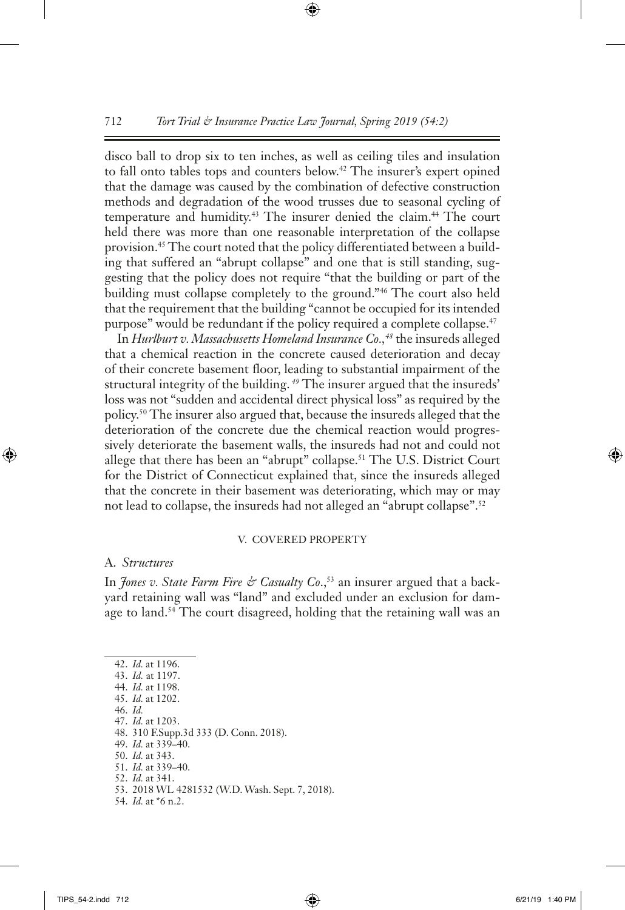disco ball to drop six to ten inches, as well as ceiling tiles and insulation to fall onto tables tops and counters below.<sup>42</sup> The insurer's expert opined that the damage was caused by the combination of defective construction methods and degradation of the wood trusses due to seasonal cycling of temperature and humidity.<sup>43</sup> The insurer denied the claim.<sup>44</sup> The court held there was more than one reasonable interpretation of the collapse provision.45 The court noted that the policy differentiated between a building that suffered an "abrupt collapse" and one that is still standing, suggesting that the policy does not require "that the building or part of the building must collapse completely to the ground."46 The court also held that the requirement that the building "cannot be occupied for its intended purpose" would be redundant if the policy required a complete collapse.<sup>47</sup>

In *Hurlburt v. Massachusetts Homeland Insurance Co.,48* the insureds alleged that a chemical reaction in the concrete caused deterioration and decay of their concrete basement floor, leading to substantial impairment of the structural integrity of the building. *49* The insurer argued that the insureds' loss was not "sudden and accidental direct physical loss" as required by the policy.50 The insurer also argued that, because the insureds alleged that the deterioration of the concrete due the chemical reaction would progressively deteriorate the basement walls, the insureds had not and could not allege that there has been an "abrupt" collapse.<sup>51</sup> The U.S. District Court for the District of Connecticut explained that, since the insureds alleged that the concrete in their basement was deteriorating, which may or may not lead to collapse, the insureds had not alleged an "abrupt collapse".<sup>52</sup>

#### V. Covered Property

#### A. *Structures*

In *Jones v. State Farm Fire & Casualty Co.*,<sup>53</sup> an insurer argued that a backyard retaining wall was "land" and excluded under an exclusion for damage to land.<sup>54</sup> The court disagreed, holding that the retaining wall was an

42. *Id.* at 1196.

47. *Id.* at 1203.

- 49. *Id.* at 339–40.
- 50. *Id.* at 343.
- 51. *Id.* at 339–40.
- 52. *Id.* at 341.

54. *Id.* at \*6 n.2.

<sup>43.</sup> *Id.* at 1197.

<sup>44.</sup> *Id.* at 1198. 45. *Id.* at 1202.

<sup>46.</sup> *Id.*

<sup>48.</sup> 310 F.Supp.3d 333 (D. Conn. 2018).

<sup>53.</sup> 2018 WL 4281532 (W.D. Wash. Sept. 7, 2018).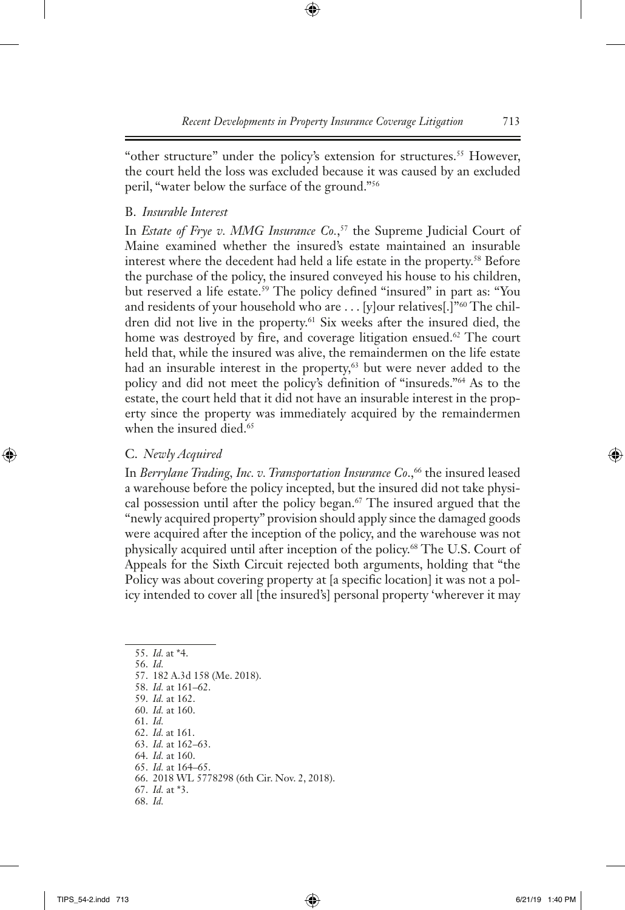"other structure" under the policy's extension for structures.<sup>55</sup> However, the court held the loss was excluded because it was caused by an excluded peril, "water below the surface of the ground."56

# B. *Insurable Interest*

In *Estate of Frye v. MMG Insurance Co.*, 57 the Supreme Judicial Court of Maine examined whether the insured's estate maintained an insurable interest where the decedent had held a life estate in the property.58 Before the purchase of the policy, the insured conveyed his house to his children, but reserved a life estate.<sup>59</sup> The policy defined "insured" in part as: "You and residents of your household who are . . . [y]our relatives[.]"<sup>60</sup> The children did not live in the property.<sup>61</sup> Six weeks after the insured died, the home was destroyed by fire, and coverage litigation ensued.<sup>62</sup> The court held that, while the insured was alive, the remaindermen on the life estate had an insurable interest in the property,<sup>63</sup> but were never added to the policy and did not meet the policy's definition of "insureds."64 As to the estate, the court held that it did not have an insurable interest in the property since the property was immediately acquired by the remaindermen when the insured died.<sup>65</sup>

# C. *Newly Acquired*

In *Berrylane Trading, Inc. v. Transportation Insurance Co.*,<sup>66</sup> the insured leased a warehouse before the policy incepted, but the insured did not take physical possession until after the policy began.<sup>67</sup> The insured argued that the "newly acquired property" provision should apply since the damaged goods were acquired after the inception of the policy, and the warehouse was not physically acquired until after inception of the policy.68 The U.S. Court of Appeals for the Sixth Circuit rejected both arguments, holding that "the Policy was about covering property at [a specific location] it was not a policy intended to cover all [the insured's] personal property 'wherever it may

55. *Id.* at \*4. 56. *Id.* 57. 182 A.3d 158 (Me. 2018). 58. *Id.* at 161–62. 59. *Id.* at 162. 60. *Id.* at 160. 61. *Id.* 62. *Id.* at 161. 63. *Id.* at 162–63. 64. *Id.* at 160. 65. *Id.* at 164–65. 66. 2018 WL 5778298 (6th Cir. Nov. 2, 2018). 67. *Id.* at \*3. 68. *Id.*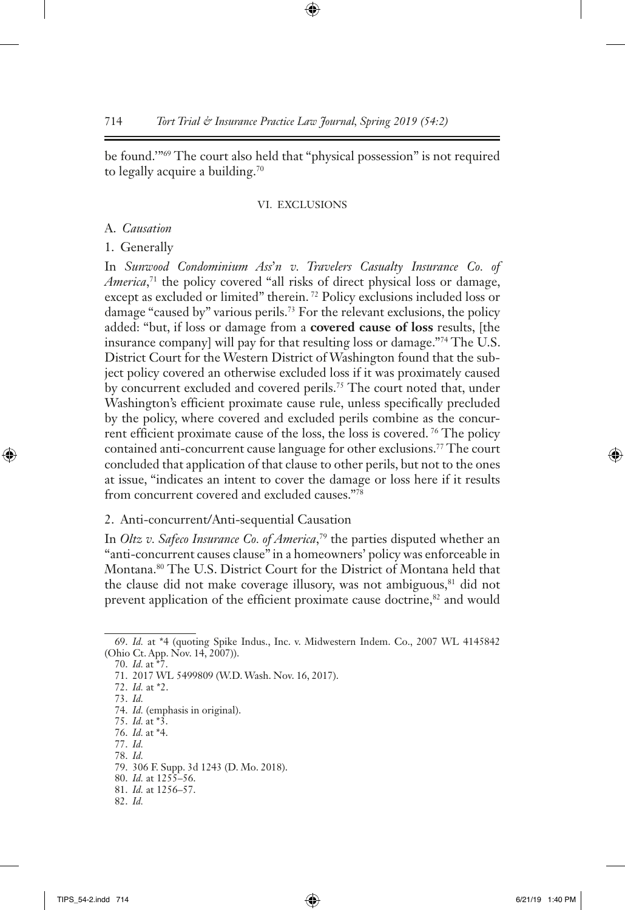be found.'"69 The court also held that "physical possession" is not required to legally acquire a building.70

#### VI. Exclusions

#### A. *Causation*

#### 1. Generally

In *Sunwood Condominium Ass*'*n v. Travelers Casualty Insurance Co. of America*, 71 the policy covered "all risks of direct physical loss or damage, except as excluded or limited" therein. 72 Policy exclusions included loss or damage "caused by" various perils.<sup>73</sup> For the relevant exclusions, the policy added: "but, if loss or damage from a **covered cause of loss** results, [the insurance company] will pay for that resulting loss or damage."74 The U.S. District Court for the Western District of Washington found that the subject policy covered an otherwise excluded loss if it was proximately caused by concurrent excluded and covered perils.75 The court noted that, under Washington's efficient proximate cause rule, unless specifically precluded by the policy, where covered and excluded perils combine as the concurrent efficient proximate cause of the loss, the loss is covered. 76 The policy contained anti-concurrent cause language for other exclusions.<sup>77</sup> The court concluded that application of that clause to other perils, but not to the ones at issue, "indicates an intent to cover the damage or loss here if it results from concurrent covered and excluded causes."78

# 2. Anti-concurrent/Anti-sequential Causation

In *Oltz v. Safeco Insurance Co. of America*, 79 the parties disputed whether an "anti-concurrent causes clause" in a homeowners' policy was enforceable in Montana.80 The U.S. District Court for the District of Montana held that the clause did not make coverage illusory, was not ambiguous,<sup>81</sup> did not prevent application of the efficient proximate cause doctrine,<sup>82</sup> and would

77. *Id.* 78. *Id.*

<sup>69.</sup> *Id.* at \*4 (quoting Spike Indus., Inc. v. Midwestern Indem. Co., 2007 WL 4145842 (Ohio Ct. App. Nov. 14, 2007)).

<sup>70.</sup> *Id.* at \*7.

<sup>71.</sup> 2017 WL 5499809 (W.D. Wash. Nov. 16, 2017).

<sup>72.</sup> *Id.* at \*2.

<sup>73.</sup> *Id.*

<sup>74.</sup> *Id.* (emphasis in original).

<sup>75.</sup> *Id.* at \*3.

<sup>76.</sup> *Id.* at \*4.

<sup>79.</sup> 306 F. Supp. 3d 1243 (D. Mo. 2018).

<sup>80.</sup> *Id.* at 1255–56.

<sup>81.</sup> *Id.* at 1256–57.

<sup>82.</sup> *Id.*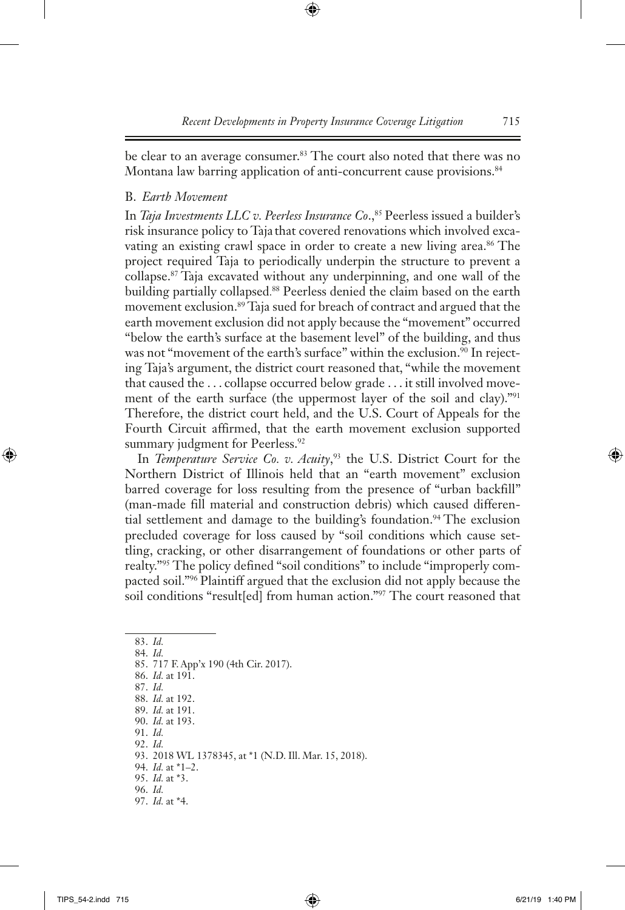be clear to an average consumer.<sup>83</sup> The court also noted that there was no Montana law barring application of anti-concurrent cause provisions.<sup>84</sup>

# B. *Earth Movement*

In *Taja Investments LLC v. Peerless Insurance Co.*,<sup>85</sup> Peerless issued a builder's risk insurance policy to Taja that covered renovations which involved excavating an existing crawl space in order to create a new living area.<sup>86</sup> The project required Taja to periodically underpin the structure to prevent a collapse.87 Taja excavated without any underpinning, and one wall of the building partially collapsed. 88 Peerless denied the claim based on the earth movement exclusion.89 Taja sued for breach of contract and argued that the earth movement exclusion did not apply because the "movement" occurred "below the earth's surface at the basement level" of the building, and thus was not "movement of the earth's surface" within the exclusion.<sup>90</sup> In rejecting Taja's argument, the district court reasoned that, "while the movement that caused the . . . collapse occurred below grade . . . it still involved movement of the earth surface (the uppermost layer of the soil and clay)."91 Therefore, the district court held, and the U.S. Court of Appeals for the Fourth Circuit affirmed, that the earth movement exclusion supported summary judgment for Peerless.<sup>92</sup>

In *Temperature Service Co. v. Acuity*, 93 the U.S. District Court for the Northern District of Illinois held that an "earth movement" exclusion barred coverage for loss resulting from the presence of "urban backfill" (man-made fill material and construction debris) which caused differential settlement and damage to the building's foundation.<sup>94</sup> The exclusion precluded coverage for loss caused by "soil conditions which cause settling, cracking, or other disarrangement of foundations or other parts of realty."95 The policy defined "soil conditions" to include "improperly compacted soil."96 Plaintiff argued that the exclusion did not apply because the soil conditions "result[ed] from human action."97 The court reasoned that

83. *Id.* 84. *Id.* 85. 717 F. App'x 190 (4th Cir. 2017). 86. *Id.* at 191. 87. *Id.* 88. *Id.* at 192. 89. *Id.* at 191. 90. *Id.* at 193. 91. *Id.* 92. *Id.* 93. 2018 WL 1378345, at \*1 (N.D. Ill. Mar. 15, 2018). 94. *Id.* at \*1–2. 95. *Id.* at \*3. 96. *Id.* 97. *Id.* at \*4.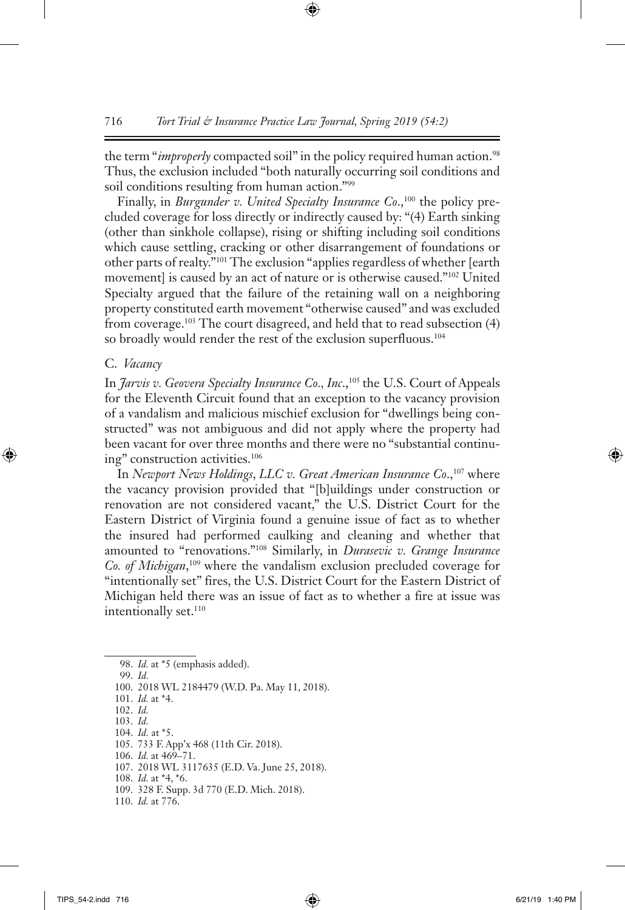the term "*improperly* compacted soil" in the policy required human action.<sup>98</sup> Thus, the exclusion included "both naturally occurring soil conditions and soil conditions resulting from human action."99

Finally, in *Burgunder v. United Specialty Insurance Co.*,<sup>100</sup> the policy precluded coverage for loss directly or indirectly caused by: "(4) Earth sinking (other than sinkhole collapse), rising or shifting including soil conditions which cause settling, cracking or other disarrangement of foundations or other parts of realty."101 The exclusion "applies regardless of whether [earth movement] is caused by an act of nature or is otherwise caused."102 United Specialty argued that the failure of the retaining wall on a neighboring property constituted earth movement "otherwise caused" and was excluded from coverage.103 The court disagreed, and held that to read subsection (4) so broadly would render the rest of the exclusion superfluous.<sup>104</sup>

#### C. *Vacancy*

In *Jarvis v. Geovera Specialty Insurance Co., Inc*.,105 the U.S. Court of Appeals for the Eleventh Circuit found that an exception to the vacancy provision of a vandalism and malicious mischief exclusion for "dwellings being constructed" was not ambiguous and did not apply where the property had been vacant for over three months and there were no "substantial continuing" construction activities.106

In *Newport News Holdings*, *LLC v. Great American Insurance Co*.,107 where the vacancy provision provided that "[b]uildings under construction or renovation are not considered vacant," the U.S. District Court for the Eastern District of Virginia found a genuine issue of fact as to whether the insured had performed caulking and cleaning and whether that amounted to "renovations."108 Similarly, in *Durasevic v. Grange Insurance Co. of Michigan*, <sup>109</sup> where the vandalism exclusion precluded coverage for "intentionally set" fires, the U.S. District Court for the Eastern District of Michigan held there was an issue of fact as to whether a fire at issue was intentionally set.<sup>110</sup>

98. *Id.* at \*5 (emphasis added).

99. *Id.*

100. 2018 WL 2184479 (W.D. Pa. May 11, 2018).

101. *Id.* at \*4.

102. *Id.*

103. *Id.*

104. *Id.* at \*5.

105. 733 F. App'x 468 (11th Cir. 2018).

106. *Id.* at 469–71.

107. 2018 WL 3117635 (E.D. Va. June 25, 2018).

110. *Id.* at 776.

<sup>108.</sup> *Id.* at \*4, \*6.

<sup>109.</sup> 328 F. Supp. 3d 770 (E.D. Mich. 2018).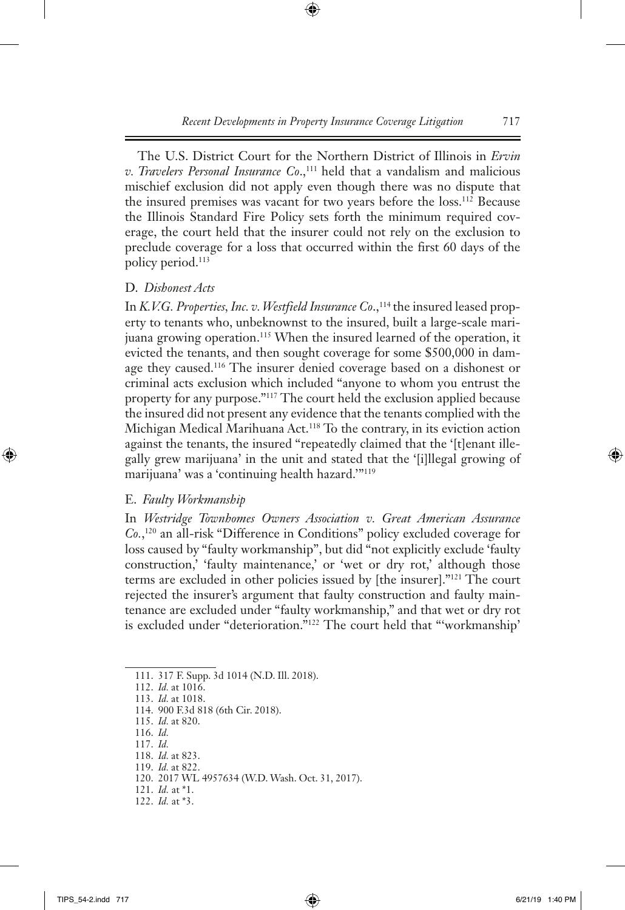The U.S. District Court for the Northern District of Illinois in *Ervin v. Travelers Personal Insurance Co.*,<sup>111</sup> held that a vandalism and malicious mischief exclusion did not apply even though there was no dispute that the insured premises was vacant for two years before the loss.112 Because the Illinois Standard Fire Policy sets forth the minimum required coverage, the court held that the insurer could not rely on the exclusion to preclude coverage for a loss that occurred within the first 60 days of the policy period.113

# D. *Dishonest Acts*

In *K.V.G. Properties, Inc. v. Westfield Insurance Co.*,<sup>114</sup> the insured leased property to tenants who, unbeknownst to the insured, built a large-scale marijuana growing operation.<sup>115</sup> When the insured learned of the operation, it evicted the tenants, and then sought coverage for some \$500,000 in damage they caused.116 The insurer denied coverage based on a dishonest or criminal acts exclusion which included "anyone to whom you entrust the property for any purpose."117 The court held the exclusion applied because the insured did not present any evidence that the tenants complied with the Michigan Medical Marihuana Act.118 To the contrary, in its eviction action against the tenants, the insured "repeatedly claimed that the '[t]enant illegally grew marijuana' in the unit and stated that the '[i]llegal growing of marijuana' was a 'continuing health hazard.'"119

# E. *Faulty Workmanship*

In *Westridge Townhomes Owners Association v. Great American Assurance Co.*, 120 an all-risk "Difference in Conditions" policy excluded coverage for loss caused by "faulty workmanship", but did "not explicitly exclude 'faulty construction,' 'faulty maintenance,' or 'wet or dry rot,' although those terms are excluded in other policies issued by [the insurer]."121 The court rejected the insurer's argument that faulty construction and faulty maintenance are excluded under "faulty workmanship," and that wet or dry rot is excluded under "deterioration."122 The court held that "'workmanship'

- 119. *Id.* at 822.
- 120. 2017 WL 4957634 (W.D. Wash. Oct. 31, 2017).
- 121. *Id.* at \*1.
- 122. *Id.* at \*3.

<sup>111.</sup> 317 F. Supp. 3d 1014 (N.D. Ill. 2018).

<sup>112.</sup> *Id.* at 1016.

<sup>113.</sup> *Id.* at 1018.

<sup>114.</sup> 900 F.3d 818 (6th Cir. 2018).

<sup>115.</sup> *Id.* at 820.

<sup>116.</sup> *Id.*

<sup>117.</sup> *Id.*

<sup>118.</sup> *Id.* at 823.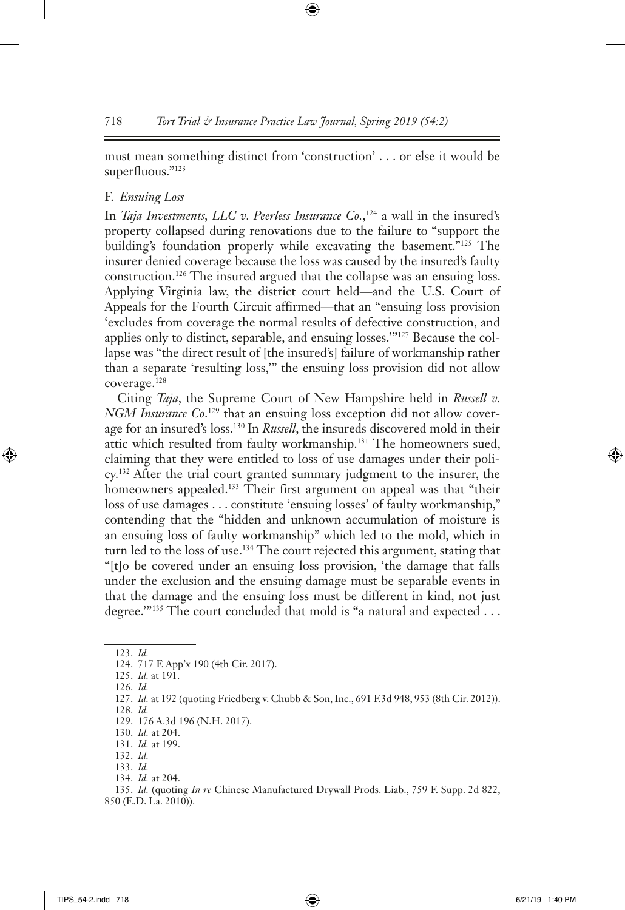must mean something distinct from 'construction' . . . or else it would be superfluous."123

#### F. *Ensuing Loss*

In *Taja Investments, LLC v. Peerless Insurance Co.*,<sup>124</sup> a wall in the insured's property collapsed during renovations due to the failure to "support the building's foundation properly while excavating the basement."125 The insurer denied coverage because the loss was caused by the insured's faulty construction.126 The insured argued that the collapse was an ensuing loss. Applying Virginia law, the district court held—and the U.S. Court of Appeals for the Fourth Circuit affirmed—that an "ensuing loss provision 'excludes from coverage the normal results of defective construction, and applies only to distinct, separable, and ensuing losses.'"127 Because the collapse was "the direct result of [the insured's] failure of workmanship rather than a separate 'resulting loss,'" the ensuing loss provision did not allow coverage.128

Citing *Taja*, the Supreme Court of New Hampshire held in *Russell v. NGM Insurance Co.*<sup>129</sup> that an ensuing loss exception did not allow coverage for an insured's loss.130 In *Russell*, the insureds discovered mold in their attic which resulted from faulty workmanship.131 The homeowners sued, claiming that they were entitled to loss of use damages under their policy.132 After the trial court granted summary judgment to the insurer, the homeowners appealed.<sup>133</sup> Their first argument on appeal was that "their loss of use damages . . . constitute 'ensuing losses' of faulty workmanship," contending that the "hidden and unknown accumulation of moisture is an ensuing loss of faulty workmanship" which led to the mold, which in turn led to the loss of use.134 The court rejected this argument, stating that "[t]o be covered under an ensuing loss provision, 'the damage that falls under the exclusion and the ensuing damage must be separable events in that the damage and the ensuing loss must be different in kind, not just degree.""<sup>135</sup> The court concluded that mold is "a natural and expected . . .

128. *Id.*

134. *Id.* at 204.

<sup>123.</sup> *Id.*

<sup>124.</sup> 717 F. App'x 190 (4th Cir. 2017).

<sup>125.</sup> *Id.* at 191.

<sup>126.</sup> *Id.*

<sup>127.</sup> *Id.* at 192 (quoting Friedberg v. Chubb & Son, Inc., 691 F.3d 948, 953 (8th Cir. 2012)).

<sup>129.</sup> 176 A.3d 196 (N.H. 2017).

<sup>130.</sup> *Id.* at 204.

<sup>131.</sup> *Id.* at 199. 132. *Id.*

<sup>133.</sup> *Id.*

<sup>135.</sup> *Id.* (quoting *In re* Chinese Manufactured Drywall Prods. Liab., 759 F. Supp. 2d 822, 850 (E.D. La. 2010)).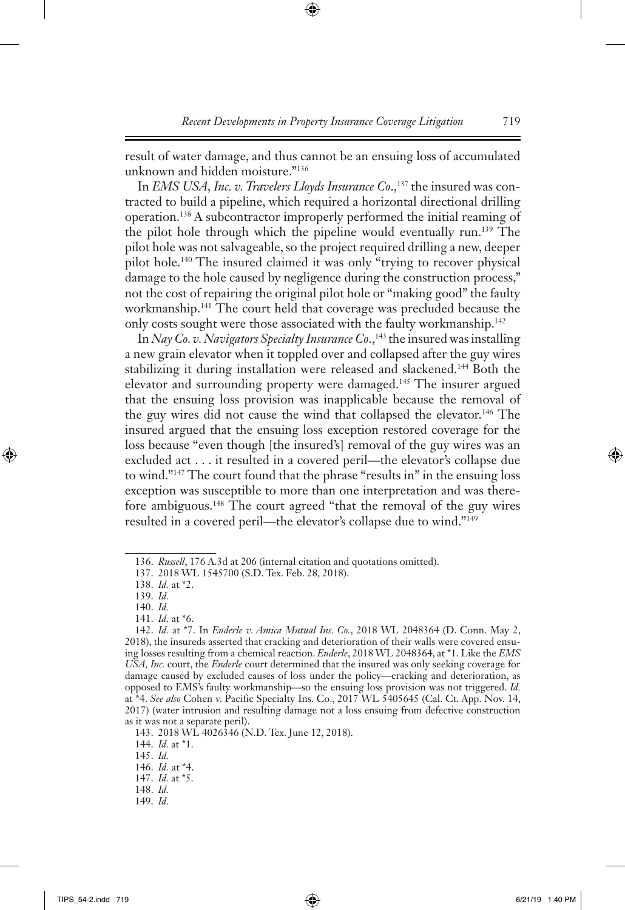result of water damage, and thus cannot be an ensuing loss of accumulated unknown and hidden moisture."136

In *EMS USA, Inc. v. Travelers Lloyds Insurance Co.*,<sup>137</sup> the insured was contracted to build a pipeline, which required a horizontal directional drilling operation.138 A subcontractor improperly performed the initial reaming of the pilot hole through which the pipeline would eventually run.139 The pilot hole was not salvageable, so the project required drilling a new, deeper pilot hole.140 The insured claimed it was only "trying to recover physical damage to the hole caused by negligence during the construction process," not the cost of repairing the original pilot hole or "making good" the faulty workmanship.141 The court held that coverage was precluded because the only costs sought were those associated with the faulty workmanship.<sup>142</sup>

In *Nay Co. v. Navigators Specialty Insurance Co.*,<sup>143</sup> the insured was installing a new grain elevator when it toppled over and collapsed after the guy wires stabilizing it during installation were released and slackened.<sup>144</sup> Both the elevator and surrounding property were damaged.145 The insurer argued that the ensuing loss provision was inapplicable because the removal of the guy wires did not cause the wind that collapsed the elevator.<sup>146</sup> The insured argued that the ensuing loss exception restored coverage for the loss because "even though [the insured's] removal of the guy wires was an excluded act . . . it resulted in a covered peril—the elevator's collapse due to wind."147 The court found that the phrase "results in" in the ensuing loss exception was susceptible to more than one interpretation and was therefore ambiguous.148 The court agreed "that the removal of the guy wires resulted in a covered peril—the elevator's collapse due to wind."149

139. *Id.*

145. *Id.*

<sup>136.</sup> *Russell*, 176 A.3d at 206 (internal citation and quotations omitted).

<sup>137.</sup> 2018 WL 1545700 (S.D. Tex. Feb. 28, 2018).

<sup>138.</sup> *Id.* at \*2.

<sup>140.</sup> *Id.*

<sup>141.</sup> *Id.* at \*6.

<sup>142.</sup> *Id.* at \*7. In *Enderle v. Amica Mutual Ins. Co.*, 2018 WL 2048364 (D. Conn. May 2, 2018), the insureds asserted that cracking and deterioration of their walls were covered ensuing losses resulting from a chemical reaction. *Enderle*, 2018 WL 2048364, at \*1. Like the *EMS USA, Inc.* court, the *Enderle* court determined that the insured was only seeking coverage for damage caused by excluded causes of loss under the policy—cracking and deterioration, as opposed to EMS's faulty workmanship—so the ensuing loss provision was not triggered. *Id.*  at \*4. *See also* Cohen v. Pacific Specialty Ins. Co., 2017 WL 5405645 (Cal. Ct. App. Nov. 14, 2017) (water intrusion and resulting damage not a loss ensuing from defective construction as it was not a separate peril).

<sup>143.</sup> 2018 WL 4026346 (N.D. Tex. June 12, 2018).

<sup>144.</sup> *Id.* at \*1.

<sup>146.</sup> *Id.* at \*4.

<sup>147.</sup> *Id.* at \*5.

<sup>148.</sup> *Id.*

<sup>149.</sup> *Id.*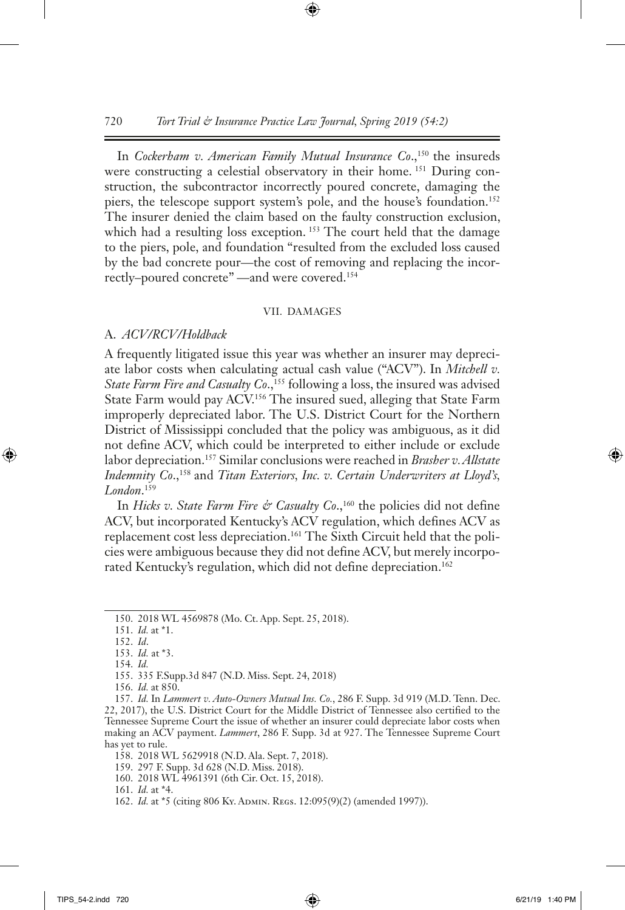In *Cockerham v. American Family Mutual Insurance Co.*,<sup>150</sup> the insureds were constructing a celestial observatory in their home. 151 During construction, the subcontractor incorrectly poured concrete, damaging the piers, the telescope support system's pole, and the house's foundation.<sup>152</sup> The insurer denied the claim based on the faulty construction exclusion, which had a resulting loss exception.<sup>153</sup> The court held that the damage to the piers, pole, and foundation "resulted from the excluded loss caused by the bad concrete pour—the cost of removing and replacing the incorrectly–poured concrete" —and were covered.154

#### VII. Damages

#### A. *ACV/RCV/Holdback*

A frequently litigated issue this year was whether an insurer may depreciate labor costs when calculating actual cash value ("ACV"). In *Mitchell v. State Farm Fire and Casualty Co.*,<sup>155</sup> following a loss, the insured was advised State Farm would pay ACV.156 The insured sued, alleging that State Farm improperly depreciated labor. The U.S. District Court for the Northern District of Mississippi concluded that the policy was ambiguous, as it did not define ACV, which could be interpreted to either include or exclude labor depreciation.157 Similar conclusions were reached in *Brasher v. Allstate Indemnity Co.*,<sup>158</sup> and *Titan Exteriors, Inc. v. Certain Underwriters at Lloyd's, London*. 159

In *Hicks v. State Farm Fire & Casualty Co.*,<sup>160</sup> the policies did not define ACV, but incorporated Kentucky's ACV regulation, which defines ACV as replacement cost less depreciation.161 The Sixth Circuit held that the policies were ambiguous because they did not define ACV, but merely incorporated Kentucky's regulation, which did not define depreciation.<sup>162</sup>

- 154. *Id.*
- 155. 335 F.Supp.3d 847 (N.D. Miss. Sept. 24, 2018)
- 156. *Id.* at 850.

159. 297 F. Supp. 3d 628 (N.D. Miss. 2018).

<sup>150.</sup> 2018 WL 4569878 (Mo. Ct. App. Sept. 25, 2018).

<sup>151.</sup> *Id.* at \*1.

<sup>152.</sup> *Id*.

<sup>153.</sup> *Id.* at \*3.

<sup>157.</sup> *Id.* In *Lammert v. Auto-Owners Mutual Ins. Co.*, 286 F. Supp. 3d 919 (M.D. Tenn. Dec. 22, 2017), the U.S. District Court for the Middle District of Tennessee also certified to the Tennessee Supreme Court the issue of whether an insurer could depreciate labor costs when making an ACV payment. *Lammert*, 286 F. Supp. 3d at 927. The Tennessee Supreme Court has yet to rule.

<sup>158.</sup> 2018 WL 5629918 (N.D. Ala. Sept. 7, 2018).

<sup>160.</sup> 2018 WL 4961391 (6th Cir. Oct. 15, 2018).

<sup>161.</sup> *Id.* at \*4.

<sup>162.</sup> *Id.* at \*5 (citing 806 Ky. АDMIN. REGS. 12:095(9)(2) (amended 1997)).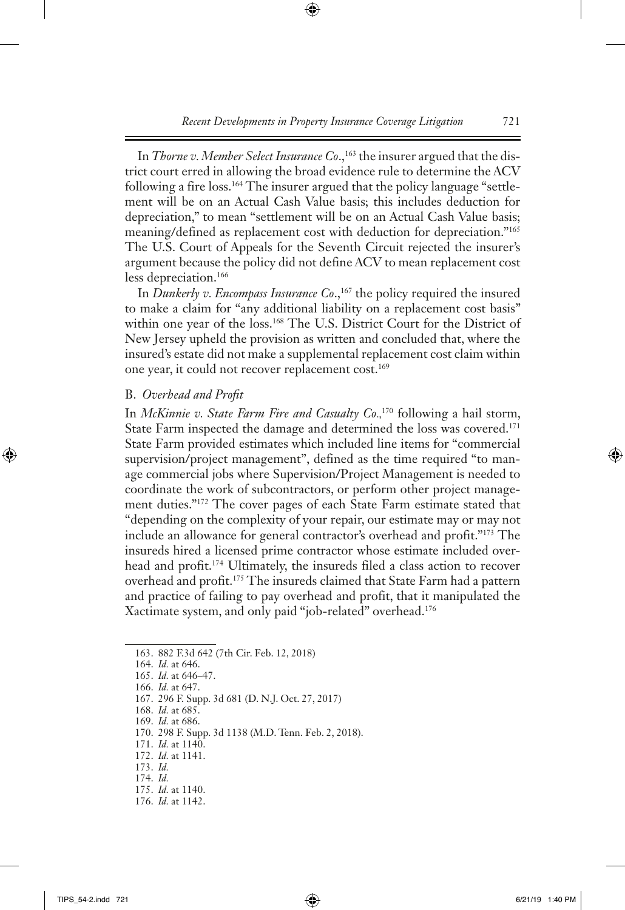In *Thorne v. Member Select Insurance Co.*,<sup>163</sup> the insurer argued that the district court erred in allowing the broad evidence rule to determine the ACV following a fire loss.<sup>164</sup> The insurer argued that the policy language "settlement will be on an Actual Cash Value basis; this includes deduction for depreciation," to mean "settlement will be on an Actual Cash Value basis; meaning/defined as replacement cost with deduction for depreciation."165 The U.S. Court of Appeals for the Seventh Circuit rejected the insurer's argument because the policy did not define ACV to mean replacement cost less depreciation.<sup>166</sup>

In *Dunkerly v. Encompass Insurance Co.*,<sup>167</sup> the policy required the insured to make a claim for "any additional liability on a replacement cost basis" within one year of the loss.168 The U.S. District Court for the District of New Jersey upheld the provision as written and concluded that, where the insured's estate did not make a supplemental replacement cost claim within one year, it could not recover replacement cost.<sup>169</sup>

#### B. *Overhead and Profit*

In *McKinnie v. State Farm Fire and Casualty Co.*,<sup>170</sup> following a hail storm, State Farm inspected the damage and determined the loss was covered.171 State Farm provided estimates which included line items for "commercial supervision/project management", defined as the time required "to manage commercial jobs where Supervision/Project Management is needed to coordinate the work of subcontractors, or perform other project management duties."172 The cover pages of each State Farm estimate stated that "depending on the complexity of your repair, our estimate may or may not include an allowance for general contractor's overhead and profit."173 The insureds hired a licensed prime contractor whose estimate included overhead and profit.174 Ultimately, the insureds filed a class action to recover overhead and profit.175 The insureds claimed that State Farm had a pattern and practice of failing to pay overhead and profit, that it manipulated the Xactimate system, and only paid "job-related" overhead.176

163. 882 F.3d 642 (7th Cir. Feb. 12, 2018)

164. *Id.* at 646.

165. *Id.* at 646–47.

166. *Id.* at 647.

167. 296 F. Supp. 3d 681 (D. N.J. Oct. 27, 2017)

168. *Id.* at 685.

169. *Id.* at 686.

170. 298 F. Supp. 3d 1138 (M.D. Tenn. Feb. 2, 2018).

171. *Id.* at 1140.

172. *Id.* at 1141.

173. *Id.*

174. *Id.*

175. *Id.* at 1140.

176. *Id.* at 1142.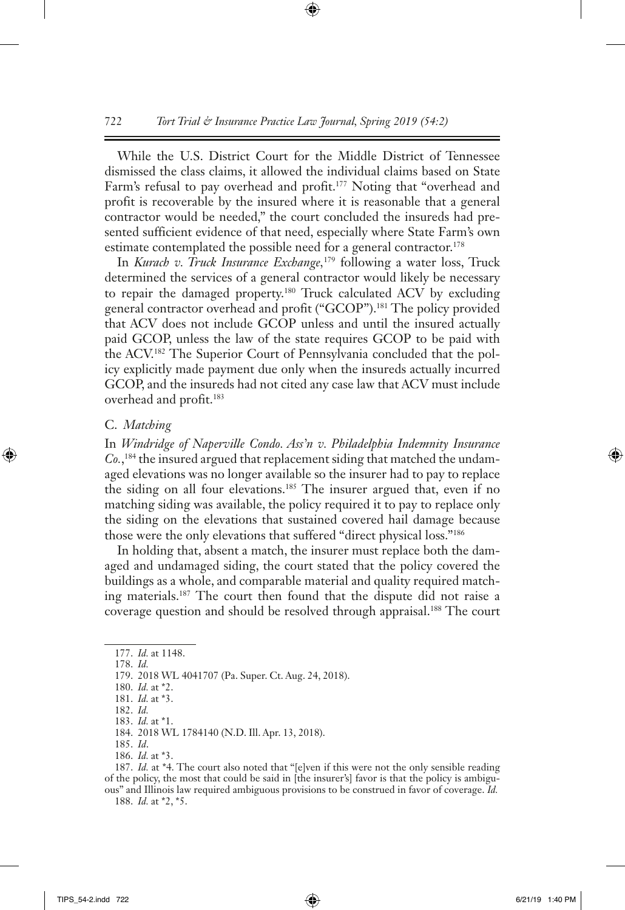While the U.S. District Court for the Middle District of Tennessee dismissed the class claims, it allowed the individual claims based on State Farm's refusal to pay overhead and profit.<sup>177</sup> Noting that "overhead and profit is recoverable by the insured where it is reasonable that a general contractor would be needed," the court concluded the insureds had presented sufficient evidence of that need, especially where State Farm's own estimate contemplated the possible need for a general contractor.<sup>178</sup>

In *Kurach v. Truck Insurance Exchange,*179 following a water loss, Truck determined the services of a general contractor would likely be necessary to repair the damaged property.180 Truck calculated ACV by excluding general contractor overhead and profit ("GCOP").181 The policy provided that ACV does not include GCOP unless and until the insured actually paid GCOP, unless the law of the state requires GCOP to be paid with the ACV.182 The Superior Court of Pennsylvania concluded that the policy explicitly made payment due only when the insureds actually incurred GCOP, and the insureds had not cited any case law that ACV must include overhead and profit.<sup>183</sup>

#### C. *Matching*

In *Windridge of Naperville Condo. Ass'n v. Philadelphia Indemnity Insurance Co.*, 184 the insured argued that replacement siding that matched the undamaged elevations was no longer available so the insurer had to pay to replace the siding on all four elevations.<sup>185</sup> The insurer argued that, even if no matching siding was available, the policy required it to pay to replace only the siding on the elevations that sustained covered hail damage because those were the only elevations that suffered "direct physical loss."186

In holding that, absent a match, the insurer must replace both the damaged and undamaged siding, the court stated that the policy covered the buildings as a whole, and comparable material and quality required matching materials.187 The court then found that the dispute did not raise a coverage question and should be resolved through appraisal.<sup>188</sup> The court

187. *Id.* at \*4. The court also noted that "[e]ven if this were not the only sensible reading of the policy, the most that could be said in [the insurer's] favor is that the policy is ambiguous" and Illinois law required ambiguous provisions to be construed in favor of coverage. *Id.* 188. *Id.* at \*2, \*5.

<sup>177.</sup> *Id.* at 1148.

<sup>178.</sup> *Id.*

<sup>179.</sup> 2018 WL 4041707 (Pa. Super. Ct. Aug. 24, 2018).

<sup>180.</sup> *Id.* at \*2.

<sup>181.</sup> *Id.* at \*3. 182. *Id.*

<sup>183.</sup> *Id.* at \*1.

<sup>184.</sup> 2018 WL 1784140 (N.D. Ill. Apr. 13, 2018). 185. *Id*.

<sup>186.</sup> *Id.* at \*3.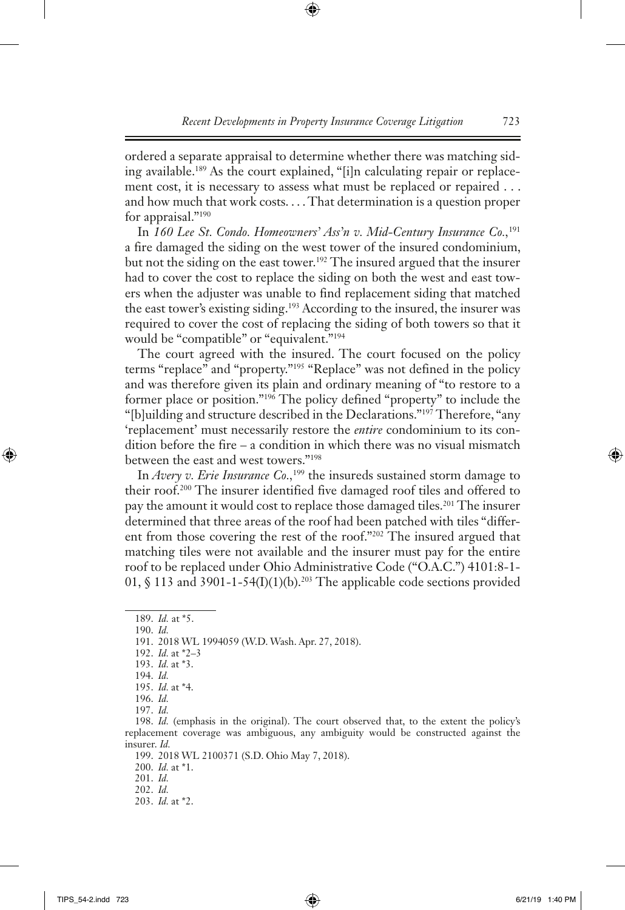ordered a separate appraisal to determine whether there was matching siding available.189 As the court explained, "[i]n calculating repair or replacement cost, it is necessary to assess what must be replaced or repaired . . . and how much that work costs. . . . That determination is a question proper for appraisal."190

In *160 Lee St. Condo. Homeowners' Ass'n v. Mid-Century Insurance Co.,*<sup>191</sup> a fire damaged the siding on the west tower of the insured condominium, but not the siding on the east tower.<sup>192</sup> The insured argued that the insurer had to cover the cost to replace the siding on both the west and east towers when the adjuster was unable to find replacement siding that matched the east tower's existing siding.<sup>193</sup> According to the insured, the insurer was required to cover the cost of replacing the siding of both towers so that it would be "compatible" or "equivalent."<sup>194</sup>

The court agreed with the insured. The court focused on the policy terms "replace" and "property."195 "Replace" was not defined in the policy and was therefore given its plain and ordinary meaning of "to restore to a former place or position."196 The policy defined "property" to include the "[b]uilding and structure described in the Declarations."197 Therefore, "any 'replacement' must necessarily restore the *entire* condominium to its condition before the fire – a condition in which there was no visual mismatch between the east and west towers."198

In *Avery v. Erie Insurance Co.*,<sup>199</sup> the insureds sustained storm damage to their roof.200 The insurer identified five damaged roof tiles and offered to pay the amount it would cost to replace those damaged tiles.<sup>201</sup> The insurer determined that three areas of the roof had been patched with tiles "different from those covering the rest of the roof."202 The insured argued that matching tiles were not available and the insurer must pay for the entire roof to be replaced under Ohio Administrative Code ("O.A.C.") 4101:8-1- 01,  $\oint$  113 and 3901-1-54(I)(1)(b).<sup>203</sup> The applicable code sections provided

190. *Id.*

192. *Id.* at \*2–3

196. *Id.*

197. *Id.*

<sup>189.</sup> *Id.* at \*5.

<sup>191.</sup> 2018 WL 1994059 (W.D. Wash. Apr. 27, 2018).

<sup>193.</sup> *Id.* at \*3.

<sup>194.</sup> *Id.*

<sup>195.</sup> *Id.* at \*4.

<sup>198.</sup> *Id.* (emphasis in the original). The court observed that, to the extent the policy's replacement coverage was ambiguous, any ambiguity would be constructed against the insurer. *Id.*

<sup>199.</sup> 2018 WL 2100371 (S.D. Ohio May 7, 2018).

<sup>200.</sup> *Id.* at \*1.

<sup>201.</sup> *Id.*

<sup>202.</sup> *Id.*

<sup>203.</sup> *Id.* at \*2.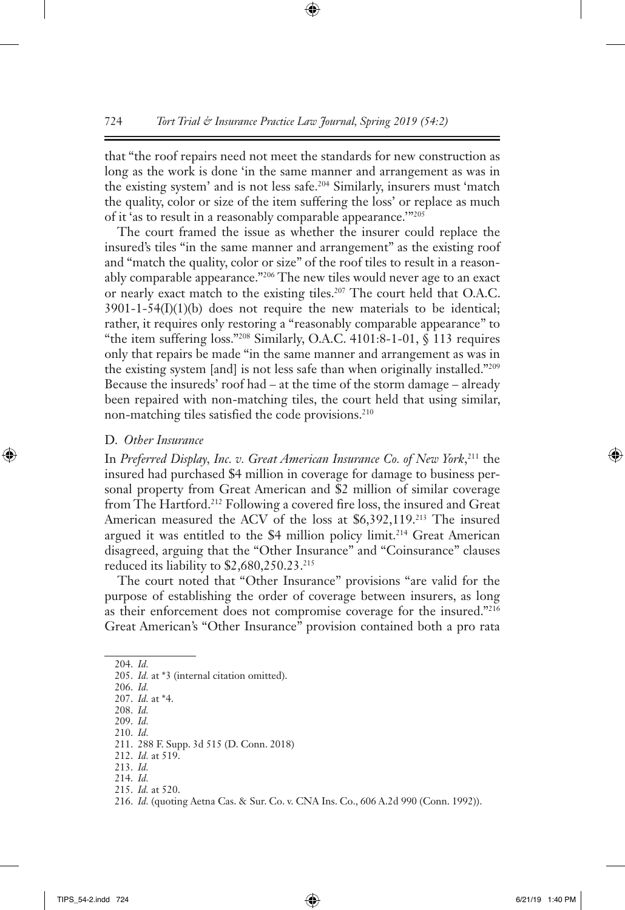that "the roof repairs need not meet the standards for new construction as long as the work is done 'in the same manner and arrangement as was in the existing system' and is not less safe.204 Similarly, insurers must 'match the quality, color or size of the item suffering the loss' or replace as much of it 'as to result in a reasonably comparable appearance.'"205

The court framed the issue as whether the insurer could replace the insured's tiles "in the same manner and arrangement" as the existing roof and "match the quality, color or size" of the roof tiles to result in a reasonably comparable appearance."206 The new tiles would never age to an exact or nearly exact match to the existing tiles.207 The court held that O.A.C.  $3901 - 1 - 54(I)(1)(b)$  does not require the new materials to be identical; rather, it requires only restoring a "reasonably comparable appearance" to "the item suffering loss."208 Similarly, O.A.C. 4101:8-1-01, § 113 requires only that repairs be made "in the same manner and arrangement as was in the existing system [and] is not less safe than when originally installed."209 Because the insureds' roof had – at the time of the storm damage – already been repaired with non-matching tiles, the court held that using similar, non-matching tiles satisfied the code provisions.<sup>210</sup>

#### D. *Other Insurance*

In *Preferred Display, Inc. v. Great American Insurance Co. of New York*, 211 the insured had purchased \$4 million in coverage for damage to business personal property from Great American and \$2 million of similar coverage from The Hartford.212 Following a covered fire loss, the insured and Great American measured the ACV of the loss at \$6,392,119.213 The insured argued it was entitled to the \$4 million policy limit.<sup>214</sup> Great American disagreed, arguing that the "Other Insurance" and "Coinsurance" clauses reduced its liability to \$2,680,250.23.215

The court noted that "Other Insurance" provisions "are valid for the purpose of establishing the order of coverage between insurers, as long as their enforcement does not compromise coverage for the insured."<sup>216</sup> Great American's "Other Insurance" provision contained both a pro rata

204. *Id.*

210. *Id.*

- 212. *Id.* at 519.
- 213. *Id.*
- 214. *Id.*

<sup>205.</sup> *Id.* at \*3 (internal citation omitted).

<sup>206.</sup> *Id.*

<sup>207.</sup> *Id.* at \*4. 208. *Id.*

<sup>209.</sup> *Id.*

<sup>211.</sup> 288 F. Supp. 3d 515 (D. Conn. 2018)

<sup>215.</sup> *Id.* at 520.

<sup>216.</sup> *Id.* (quoting Aetna Cas. & Sur. Co. v. CNA Ins. Co., 606 A.2d 990 (Conn. 1992)).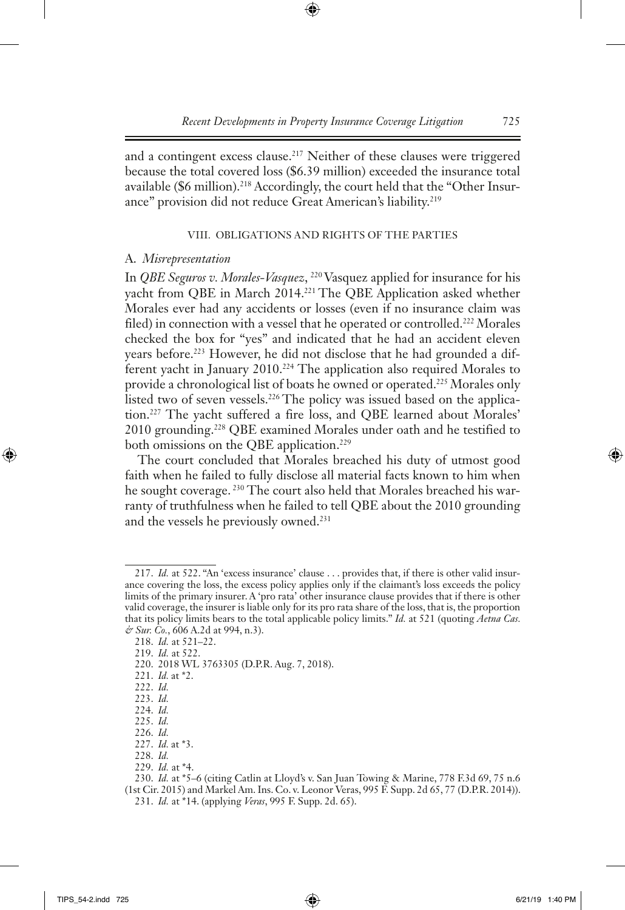and a contingent excess clause.<sup>217</sup> Neither of these clauses were triggered because the total covered loss (\$6.39 million) exceeded the insurance total available (\$6 million).<sup>218</sup> Accordingly, the court held that the "Other Insurance" provision did not reduce Great American's liability.<sup>219</sup>

#### VIII. Obligations and Rights of the Parties

#### A. *Misrepresentation*

In *QBE Seguros v. Morales-Vasquez*, 220 Vasquez applied for insurance for his yacht from QBE in March 2014.<sup>221</sup> The QBE Application asked whether Morales ever had any accidents or losses (even if no insurance claim was filed) in connection with a vessel that he operated or controlled.<sup>222</sup> Morales checked the box for "yes" and indicated that he had an accident eleven years before.223 However, he did not disclose that he had grounded a different yacht in January 2010.<sup>224</sup> The application also required Morales to provide a chronological list of boats he owned or operated.<sup>225</sup> Morales only listed two of seven vessels.<sup>226</sup> The policy was issued based on the application.227 The yacht suffered a fire loss, and QBE learned about Morales' 2010 grounding.228 QBE examined Morales under oath and he testified to both omissions on the QBE application.<sup>229</sup>

The court concluded that Morales breached his duty of utmost good faith when he failed to fully disclose all material facts known to him when he sought coverage.<sup>230</sup> The court also held that Morales breached his warranty of truthfulness when he failed to tell QBE about the 2010 grounding and the vessels he previously owned.<sup>231</sup>

220. 2018 WL 3763305 (D.P.R. Aug. 7, 2018).

<sup>217.</sup> *Id.* at 522. "An 'excess insurance' clause . . . provides that, if there is other valid insurance covering the loss, the excess policy applies only if the claimant's loss exceeds the policy limits of the primary insurer. A 'pro rata' other insurance clause provides that if there is other valid coverage, the insurer is liable only for its pro rata share of the loss, that is, the proportion that its policy limits bears to the total applicable policy limits." *Id.* at 521 (quoting *Aetna Cas. & Sur. Co.*, 606 A.2d at 994, n.3).

<sup>218.</sup> *Id.* at 521–22.

<sup>219.</sup> *Id.* at 522.

<sup>221.</sup> *Id.* at \*2.

<sup>222.</sup> *Id.*

<sup>223.</sup> *Id.*

<sup>224.</sup> *Id.*

<sup>225.</sup> *Id.*

<sup>226.</sup> *Id.* 227. *Id.* at \*3.

<sup>228.</sup> *Id.*

<sup>229.</sup> *Id.* at \*4.

<sup>230.</sup> *Id.* at \*5–6 (citing Catlin at Lloyd's v. San Juan Towing & Marine, 778 F.3d 69, 75 n.6 (1st Cir. 2015) and Markel Am. Ins. Co. v. Leonor Veras, 995 F. Supp. 2d 65, 77 (D.P.R. 2014)). 231. *Id.* at \*14. (applying *Veras*, 995 F. Supp. 2d. 65).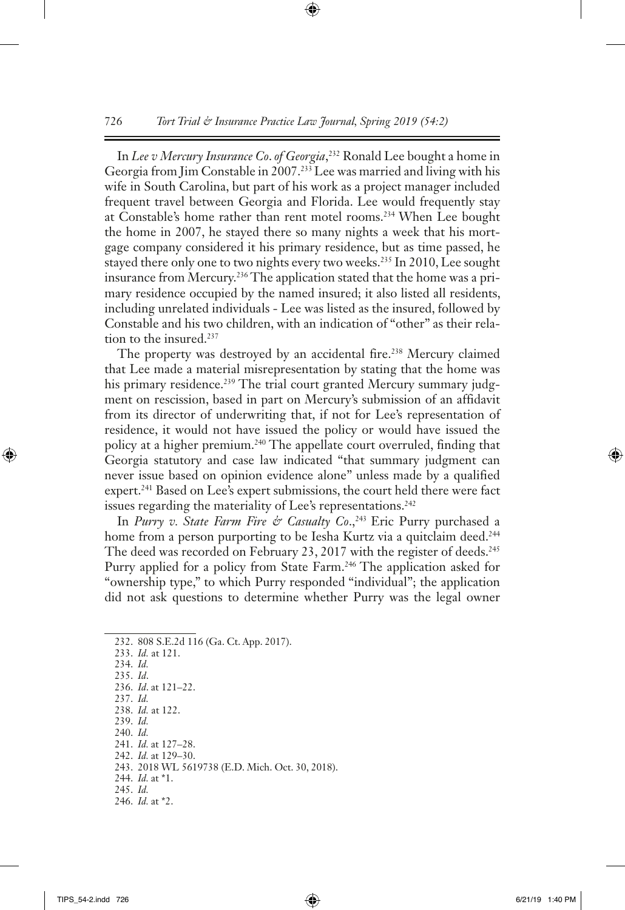In *Lee v Mercury Insurance Co*. *of Georgia*, 232 Ronald Lee bought a home in Georgia from Jim Constable in 2007.<sup>233</sup> Lee was married and living with his wife in South Carolina, but part of his work as a project manager included frequent travel between Georgia and Florida. Lee would frequently stay at Constable's home rather than rent motel rooms.234 When Lee bought the home in 2007, he stayed there so many nights a week that his mortgage company considered it his primary residence, but as time passed, he stayed there only one to two nights every two weeks.<sup>235</sup> In 2010, Lee sought insurance from Mercury.<sup>236</sup> The application stated that the home was a primary residence occupied by the named insured; it also listed all residents, including unrelated individuals - Lee was listed as the insured, followed by Constable and his two children, with an indication of "other" as their relation to the insured.<sup>237</sup>

The property was destroyed by an accidental fire.<sup>238</sup> Mercury claimed that Lee made a material misrepresentation by stating that the home was his primary residence.<sup>239</sup> The trial court granted Mercury summary judgment on rescission, based in part on Mercury's submission of an affidavit from its director of underwriting that, if not for Lee's representation of residence, it would not have issued the policy or would have issued the policy at a higher premium.240 The appellate court overruled, finding that Georgia statutory and case law indicated "that summary judgment can never issue based on opinion evidence alone" unless made by a qualified expert.<sup>241</sup> Based on Lee's expert submissions, the court held there were fact issues regarding the materiality of Lee's representations.<sup>242</sup>

In *Purry v. State Farm Fire & Casualty Co.*,<sup>243</sup> Eric Purry purchased a home from a person purporting to be Iesha Kurtz via a quitclaim deed.<sup>244</sup> The deed was recorded on February 23, 2017 with the register of deeds.<sup>245</sup> Purry applied for a policy from State Farm.<sup>246</sup> The application asked for "ownership type," to which Purry responded "individual"; the application did not ask questions to determine whether Purry was the legal owner

<sup>232.</sup> 808 S.E.2d 116 (Ga. Ct. App. 2017). 233. *Id.* at 121. 234. *Id.* 235. *Id*. 236. *Id*. at 121–22. 237. *Id.* 238. *Id.* at 122. 239. *Id.* 240. *Id.* 241. *Id.* at 127–28. 242. *Id.* at 129–30. 243. 2018 WL 5619738 (E.D. Mich. Oct. 30, 2018). 244. *Id.* at \*1. 245. *Id.* 246. *Id.* at \*2.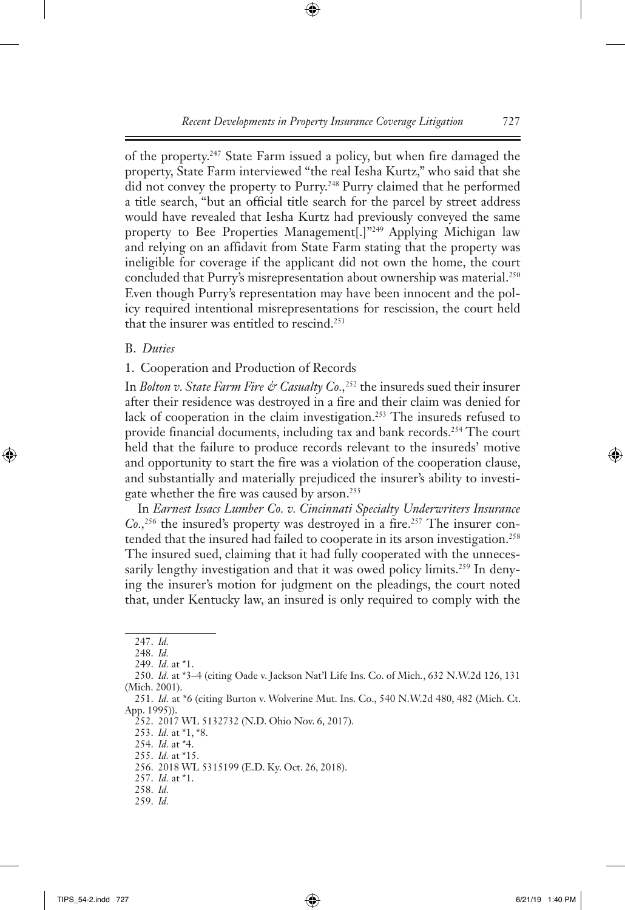of the property.247 State Farm issued a policy, but when fire damaged the property, State Farm interviewed "the real Iesha Kurtz," who said that she did not convey the property to Purry.248 Purry claimed that he performed a title search, "but an official title search for the parcel by street address would have revealed that Iesha Kurtz had previously conveyed the same property to Bee Properties Management[.]"<sup>249</sup> Applying Michigan law and relying on an affidavit from State Farm stating that the property was ineligible for coverage if the applicant did not own the home, the court concluded that Purry's misrepresentation about ownership was material.<sup>250</sup> Even though Purry's representation may have been innocent and the policy required intentional misrepresentations for rescission, the court held that the insurer was entitled to rescind.<sup>251</sup>

# B. *Duties*

1. Cooperation and Production of Records

In *Bolton v. State Farm Fire & Casualty Co.*,<sup>252</sup> the insureds sued their insurer after their residence was destroyed in a fire and their claim was denied for lack of cooperation in the claim investigation.<sup>253</sup> The insureds refused to provide financial documents, including tax and bank records.254 The court held that the failure to produce records relevant to the insureds' motive and opportunity to start the fire was a violation of the cooperation clause, and substantially and materially prejudiced the insurer's ability to investigate whether the fire was caused by arson.255

In *Earnest Issacs Lumber Co. v. Cincinnati Specialty Underwriters Insurance Co.,*256 the insured's property was destroyed in a fire.257 The insurer contended that the insured had failed to cooperate in its arson investigation.<sup>258</sup> The insured sued, claiming that it had fully cooperated with the unnecessarily lengthy investigation and that it was owed policy limits.<sup>259</sup> In denying the insurer's motion for judgment on the pleadings, the court noted that, under Kentucky law, an insured is only required to comply with the

<sup>247.</sup> *Id.*

<sup>248.</sup> *Id.*

<sup>249.</sup> *Id.* at \*1.

<sup>250.</sup> *Id.* at \*3–4 (citing Oade v. Jackson Nat'l Life Ins. Co. of Mich*.*, 632 N.W.2d 126, 131 (Mich. 2001).

<sup>251.</sup> *Id.* at \*6 (citing Burton v. Wolverine Mut. Ins. Co., 540 N.W.2d 480, 482 (Mich. Ct. App. 1995)).

<sup>252.</sup> 2017 WL 5132732 (N.D. Ohio Nov. 6, 2017).

<sup>253.</sup> *Id.* at \*1, \*8.

<sup>254.</sup> *Id.* at \*4.

<sup>255.</sup> *Id.* at \*15.

<sup>256.</sup> 2018 WL 5315199 (E.D. Ky. Oct. 26, 2018).

<sup>257.</sup> *Id.* at \*1.

<sup>258.</sup> *Id.*

<sup>259.</sup> *Id.*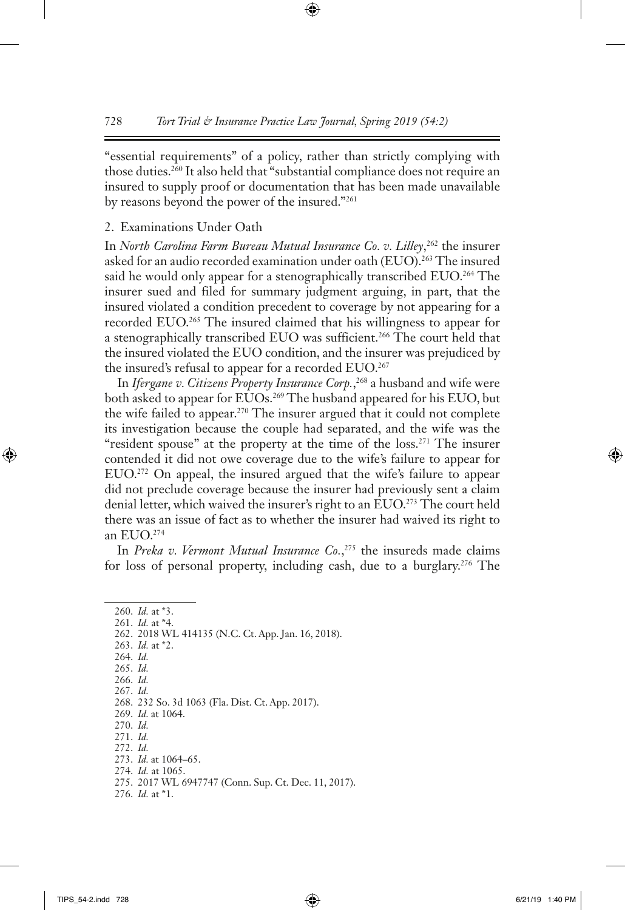"essential requirements" of a policy, rather than strictly complying with those duties.260 It also held that "substantial compliance does not require an insured to supply proof or documentation that has been made unavailable by reasons beyond the power of the insured."261

#### 2. Examinations Under Oath

In *North Carolina Farm Bureau Mutual Insurance Co. v. Lilley*, 262 the insurer asked for an audio recorded examination under oath (EUO).<sup>263</sup> The insured said he would only appear for a stenographically transcribed EUO.<sup>264</sup> The insurer sued and filed for summary judgment arguing, in part, that the insured violated a condition precedent to coverage by not appearing for a recorded EUO.265 The insured claimed that his willingness to appear for a stenographically transcribed EUO was sufficient.266 The court held that the insured violated the EUO condition, and the insurer was prejudiced by the insured's refusal to appear for a recorded EUO.<sup>267</sup>

In *Ifergane v. Citizens Property Insurance Corp.*, 268 a husband and wife were both asked to appear for EUOs.269 The husband appeared for his EUO, but the wife failed to appear.270 The insurer argued that it could not complete its investigation because the couple had separated, and the wife was the "resident spouse" at the property at the time of the loss.<sup>271</sup> The insurer contended it did not owe coverage due to the wife's failure to appear for EUO.272 On appeal, the insured argued that the wife's failure to appear did not preclude coverage because the insurer had previously sent a claim denial letter, which waived the insurer's right to an EUO.<sup>273</sup> The court held there was an issue of fact as to whether the insurer had waived its right to an EUO.274

In *Preka v. Vermont Mutual Insurance Co.*, 275 the insureds made claims for loss of personal property, including cash, due to a burglary.<sup>276</sup> The

260. *Id.* at \*3. 261. *Id.* at \*4. 262. 2018 WL 414135 (N.C. Ct. App. Jan. 16, 2018). 263. *Id.* at \*2. 264. *Id.* 265. *Id.* 266. *Id.* 267. *Id.* 268. 232 So. 3d 1063 (Fla. Dist. Ct. App. 2017). 269. *Id.* at 1064. 270. *Id.* 271. *Id.* 272. *Id.* 273. *Id.* at 1064–65. 274. *Id.* at 1065. 275. 2017 WL 6947747 (Conn. Sup. Ct. Dec. 11, 2017). 276. *Id.* at \*1.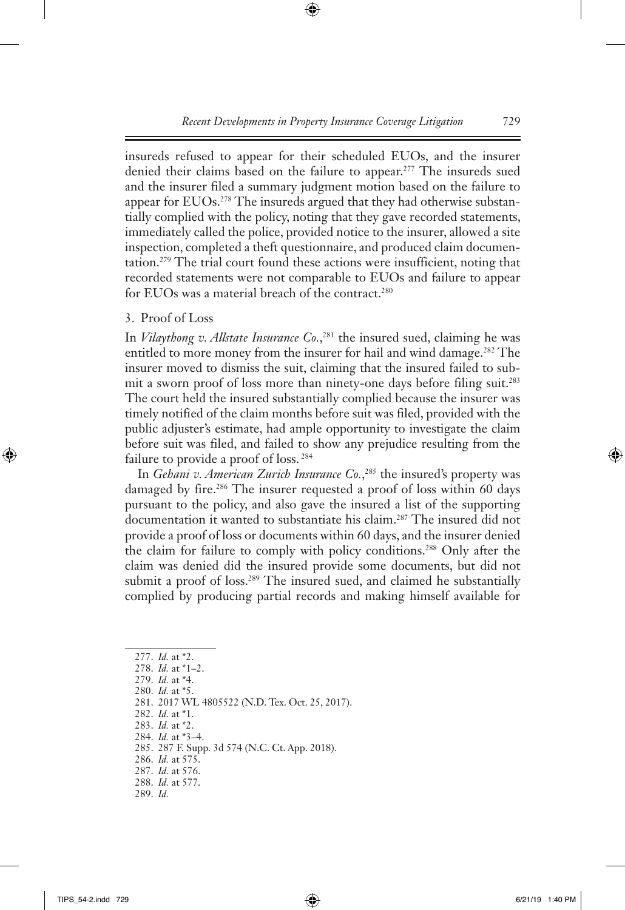insureds refused to appear for their scheduled EUOs, and the insurer denied their claims based on the failure to appear.277 The insureds sued and the insurer filed a summary judgment motion based on the failure to appear for EUOs.<sup>278</sup> The insureds argued that they had otherwise substantially complied with the policy, noting that they gave recorded statements, immediately called the police, provided notice to the insurer, allowed a site inspection, completed a theft questionnaire, and produced claim documentation.279 The trial court found these actions were insufficient, noting that recorded statements were not comparable to EUOs and failure to appear for EUOs was a material breach of the contract.<sup>280</sup>

# 3. Proof of Loss

In *Vilaythong v. Allstate Insurance Co.*, 281 the insured sued, claiming he was entitled to more money from the insurer for hail and wind damage.<sup>282</sup> The insurer moved to dismiss the suit, claiming that the insured failed to submit a sworn proof of loss more than ninety-one days before filing suit.283 The court held the insured substantially complied because the insurer was timely notified of the claim months before suit was filed, provided with the public adjuster's estimate, had ample opportunity to investigate the claim before suit was filed, and failed to show any prejudice resulting from the failure to provide a proof of loss. 284

In *Gehani v. American Zurich Insurance Co.*, 285 the insured's property was damaged by fire.<sup>286</sup> The insurer requested a proof of loss within 60 days pursuant to the policy, and also gave the insured a list of the supporting documentation it wanted to substantiate his claim.287 The insured did not provide a proof of loss or documents within 60 days, and the insurer denied the claim for failure to comply with policy conditions.288 Only after the claim was denied did the insured provide some documents, but did not submit a proof of loss.<sup>289</sup> The insured sued, and claimed he substantially complied by producing partial records and making himself available for

- 282. *Id.* at \*1.
- 283. *Id.* at \*2.
- 284. *Id.* at \*3–4.
- 285. 287 F. Supp. 3d 574 (N.C. Ct. App. 2018).
- 286. *Id.* at 575.
- 287. *Id.* at 576. 288. *Id.* at 577.
- 289. *Id.*

<sup>277.</sup> *Id.* at \*2.

<sup>278.</sup> *Id.* at \*1–2.

<sup>279.</sup> *Id.* at \*4. 280. *Id.* at \*5.

<sup>281.</sup> 2017 WL 4805522 (N.D. Tex. Oct. 25, 2017).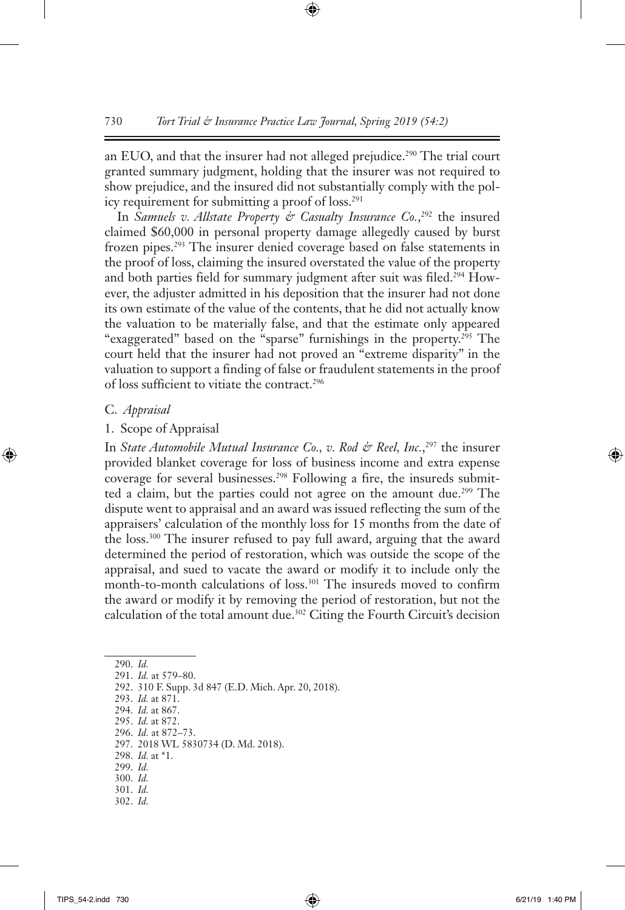an EUO, and that the insurer had not alleged prejudice.<sup>290</sup> The trial court granted summary judgment, holding that the insurer was not required to show prejudice, and the insured did not substantially comply with the policy requirement for submitting a proof of loss.<sup>291</sup>

In *Samuels v. Allstate Property & Casualty Insurance Co.*,<sup>292</sup> the insured claimed \$60,000 in personal property damage allegedly caused by burst frozen pipes.293 The insurer denied coverage based on false statements in the proof of loss, claiming the insured overstated the value of the property and both parties field for summary judgment after suit was filed.<sup>294</sup> However, the adjuster admitted in his deposition that the insurer had not done its own estimate of the value of the contents, that he did not actually know the valuation to be materially false, and that the estimate only appeared "exaggerated" based on the "sparse" furnishings in the property.<sup>295</sup> The court held that the insurer had not proved an "extreme disparity" in the valuation to support a finding of false or fraudulent statements in the proof of loss sufficient to vitiate the contract.296

#### C. *Appraisal*

#### 1. Scope of Appraisal

In *State Automobile Mutual Insurance Co.*, *v. Rod & Reel*, *Inc.*,<sup>297</sup> the insurer provided blanket coverage for loss of business income and extra expense coverage for several businesses.<sup>298</sup> Following a fire, the insureds submitted a claim, but the parties could not agree on the amount due.299 The dispute went to appraisal and an award was issued reflecting the sum of the appraisers' calculation of the monthly loss for 15 months from the date of the loss.300 The insurer refused to pay full award, arguing that the award determined the period of restoration, which was outside the scope of the appraisal, and sued to vacate the award or modify it to include only the month-to-month calculations of loss.<sup>301</sup> The insureds moved to confirm the award or modify it by removing the period of restoration, but not the calculation of the total amount due.302 Citing the Fourth Circuit's decision

290. *Id.*

291. *Id.* at 579–80.

292. 310 F. Supp. 3d 847 (E.D. Mich. Apr. 20, 2018).

293. *Id.* at 871.

294. *Id.* at 867.

- 295. *Id.* at 872.
- 296. *Id.* at 872–73.

- 298. *Id.* at \*1.
- 299. *Id.* 300. *Id.*
- 301. *Id.*
- 302. *Id.*

<sup>297.</sup> 2018 WL 5830734 (D. Md. 2018).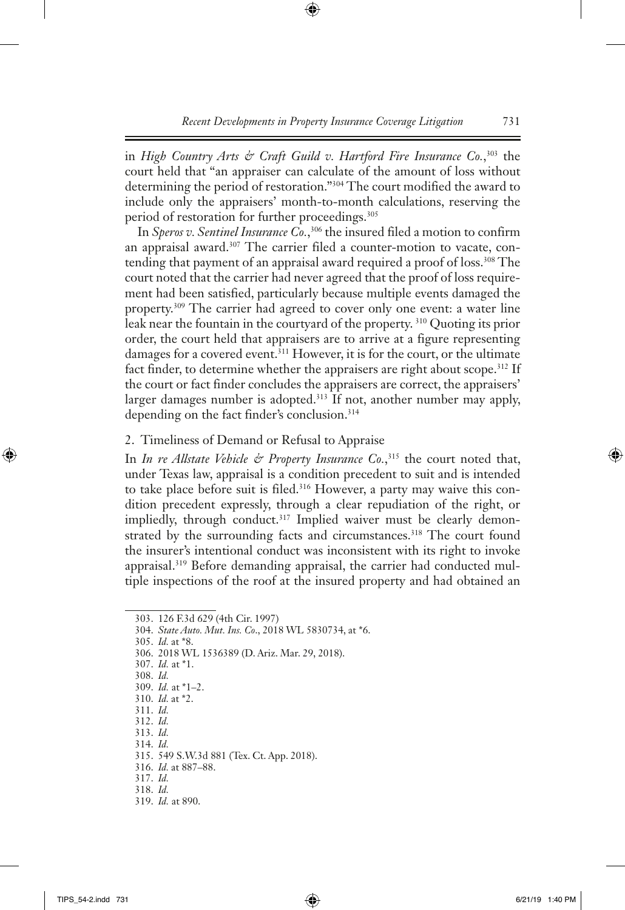in *High Country Arts & Craft Guild v. Hartford Fire Insurance Co.*, 303 the court held that "an appraiser can calculate of the amount of loss without determining the period of restoration."304 The court modified the award to include only the appraisers' month-to-month calculations, reserving the period of restoration for further proceedings.<sup>305</sup>

In *Speros v. Sentinel Insurance Co.*, 306 the insured filed a motion to confirm an appraisal award.<sup>307</sup> The carrier filed a counter-motion to vacate, contending that payment of an appraisal award required a proof of loss.<sup>308</sup> The court noted that the carrier had never agreed that the proof of loss requirement had been satisfied, particularly because multiple events damaged the property.309 The carrier had agreed to cover only one event: a water line leak near the fountain in the courtyard of the property. 310 Quoting its prior order, the court held that appraisers are to arrive at a figure representing damages for a covered event.<sup>311</sup> However, it is for the court, or the ultimate fact finder, to determine whether the appraisers are right about scope.<sup>312</sup> If the court or fact finder concludes the appraisers are correct, the appraisers' larger damages number is adopted.<sup>313</sup> If not, another number may apply, depending on the fact finder's conclusion.<sup>314</sup>

#### 2. Timeliness of Demand or Refusal to Appraise

In *In re Allstate Vehicle & Property Insurance Co.*, 315 the court noted that, under Texas law, appraisal is a condition precedent to suit and is intended to take place before suit is filed.<sup>316</sup> However, a party may waive this condition precedent expressly, through a clear repudiation of the right, or impliedly, through conduct.<sup>317</sup> Implied waiver must be clearly demonstrated by the surrounding facts and circumstances.<sup>318</sup> The court found the insurer's intentional conduct was inconsistent with its right to invoke appraisal.<sup>319</sup> Before demanding appraisal, the carrier had conducted multiple inspections of the roof at the insured property and had obtained an

305. *Id.* at \*8.

306. 2018 WL 1536389 (D. Ariz. Mar. 29, 2018).

- 308. *Id.*
- 309. *Id.* at \*1–2.
- 310. *Id.* at \*2.
- 311. *Id.* 312. *Id.*
- 313. *Id.*
- 314. *Id.*
- 315. 549 S.W.3d 881 (Tex. Ct. App. 2018).
- 316. *Id.* at 887–88.
- 317. *Id.*
- 318. *Id.*

<sup>303.</sup> 126 F.3d 629 (4th Cir. 1997)

<sup>304.</sup> *State Auto. Mut. Ins. Co*., 2018 WL 5830734, at \*6.

<sup>307.</sup> *Id.* at \*1.

<sup>319.</sup> *Id.* at 890.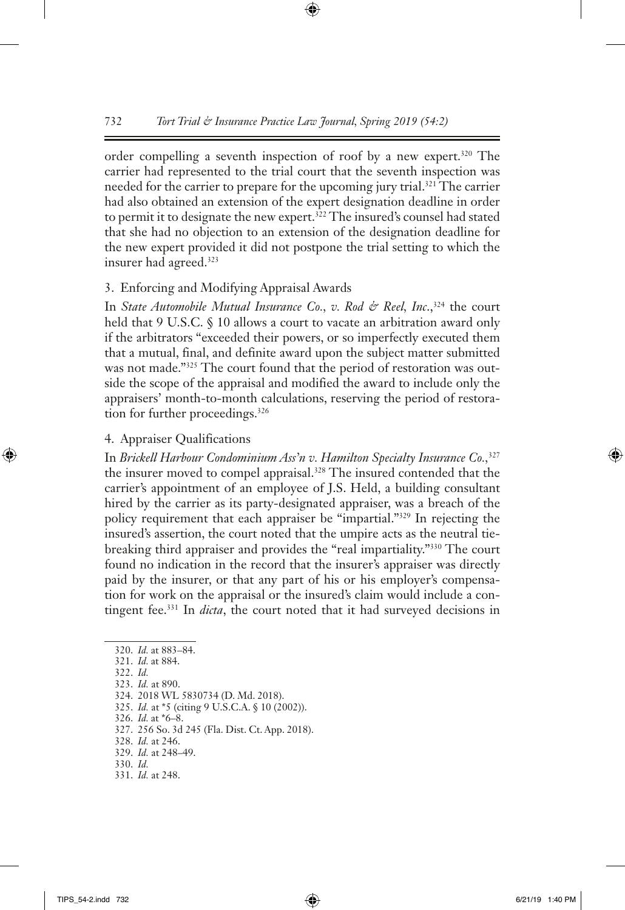order compelling a seventh inspection of roof by a new expert.<sup>320</sup> The carrier had represented to the trial court that the seventh inspection was needed for the carrier to prepare for the upcoming jury trial.<sup>321</sup> The carrier had also obtained an extension of the expert designation deadline in order to permit it to designate the new expert.<sup>322</sup> The insured's counsel had stated that she had no objection to an extension of the designation deadline for the new expert provided it did not postpone the trial setting to which the insurer had agreed.<sup>323</sup>

#### 3. Enforcing and Modifying Appraisal Awards

In *State Automobile Mutual Insurance Co., v. Rod & Reel, Inc.*,<sup>324</sup> the court held that 9 U.S.C. § 10 allows a court to vacate an arbitration award only if the arbitrators "exceeded their powers, or so imperfectly executed them that a mutual, final, and definite award upon the subject matter submitted was not made."325 The court found that the period of restoration was outside the scope of the appraisal and modified the award to include only the appraisers' month-to-month calculations, reserving the period of restoration for further proceedings.<sup>326</sup>

#### 4. Appraiser Qualifications

In *Brickell Harbour Condominium Ass'n v. Hamilton Specialty Insurance Co.,*<sup>327</sup> the insurer moved to compel appraisal.328 The insured contended that the carrier's appointment of an employee of J.S. Held, a building consultant hired by the carrier as its party-designated appraiser, was a breach of the policy requirement that each appraiser be "impartial."329 In rejecting the insured's assertion, the court noted that the umpire acts as the neutral tiebreaking third appraiser and provides the "real impartiality."330 The court found no indication in the record that the insurer's appraiser was directly paid by the insurer, or that any part of his or his employer's compensation for work on the appraisal or the insured's claim would include a contingent fee.331 In *dicta*, the court noted that it had surveyed decisions in

325. *Id.* at \*5 (citing 9 U.S.C.A. § 10 (2002)).

- 327. 256 So. 3d 245 (Fla. Dist. Ct. App. 2018).
- 328. *Id.* at 246.
- 329. *Id.* at 248–49.
- 330. *Id.*
- 331. *Id.* at 248.

<sup>320.</sup> *Id.* at 883–84.

<sup>321.</sup> *Id.* at 884.

<sup>322.</sup> *Id.*

<sup>323.</sup> *Id.* at 890.

<sup>324.</sup> 2018 WL 5830734 (D. Md. 2018).

<sup>326.</sup> *Id.* at \*6–8.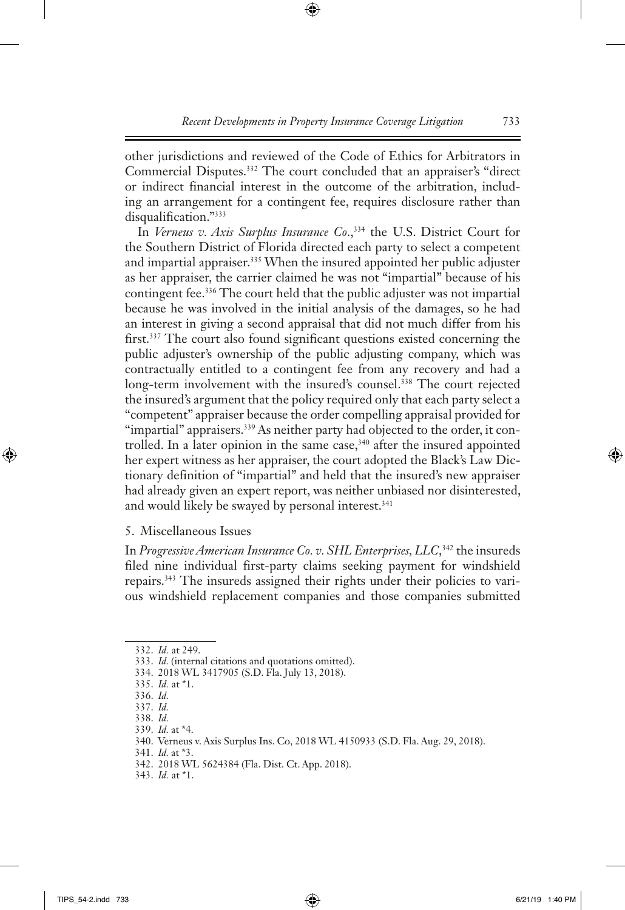other jurisdictions and reviewed of the Code of Ethics for Arbitrators in Commercial Disputes.332 The court concluded that an appraiser's "direct or indirect financial interest in the outcome of the arbitration, including an arrangement for a contingent fee, requires disclosure rather than disqualification."333

In *Verneus v. Axis Surplus Insurance Co.*,<sup>334</sup> the U.S. District Court for the Southern District of Florida directed each party to select a competent and impartial appraiser.335 When the insured appointed her public adjuster as her appraiser, the carrier claimed he was not "impartial" because of his contingent fee.336 The court held that the public adjuster was not impartial because he was involved in the initial analysis of the damages, so he had an interest in giving a second appraisal that did not much differ from his first.<sup>337</sup> The court also found significant questions existed concerning the public adjuster's ownership of the public adjusting company, which was contractually entitled to a contingent fee from any recovery and had a long-term involvement with the insured's counsel.<sup>338</sup> The court rejected the insured's argument that the policy required only that each party select a "competent" appraiser because the order compelling appraisal provided for "impartial" appraisers.<sup>339</sup> As neither party had objected to the order, it controlled. In a later opinion in the same case,  $340$  after the insured appointed her expert witness as her appraiser, the court adopted the Black's Law Dictionary definition of "impartial" and held that the insured's new appraiser had already given an expert report, was neither unbiased nor disinterested, and would likely be swayed by personal interest.<sup>341</sup>

5. Miscellaneous Issues

In *Progressive American Insurance Co. v. SHL Enterprises, LLC*, 342 the insureds filed nine individual first-party claims seeking payment for windshield repairs.343 The insureds assigned their rights under their policies to various windshield replacement companies and those companies submitted

343. *Id.* at \*1.

<sup>332.</sup> *Id.* at 249.

<sup>333.</sup> *Id.* (internal citations and quotations omitted).

<sup>334.</sup> 2018 WL 3417905 (S.D. Fla. July 13, 2018).

<sup>335.</sup> *Id.* at \*1.

<sup>336.</sup> *Id.*

<sup>337.</sup> *Id.* 338. *Id.*

<sup>339.</sup> *Id.* at \*4.

<sup>340.</sup> Verneus v. Axis Surplus Ins. Co, 2018 WL 4150933 (S.D. Fla. Aug. 29, 2018).

<sup>341.</sup> *Id.* at \*3.

<sup>342.</sup> 2018 WL 5624384 (Fla. Dist. Ct. App. 2018).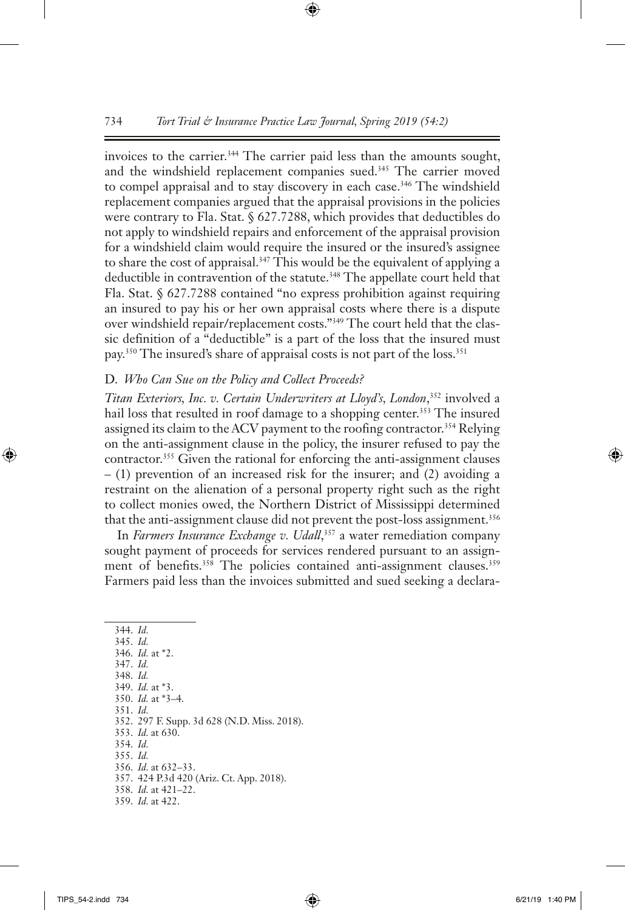invoices to the carrier.<sup>344</sup> The carrier paid less than the amounts sought, and the windshield replacement companies sued.<sup>345</sup> The carrier moved to compel appraisal and to stay discovery in each case.<sup>346</sup> The windshield replacement companies argued that the appraisal provisions in the policies were contrary to Fla. Stat. § 627.7288, which provides that deductibles do not apply to windshield repairs and enforcement of the appraisal provision for a windshield claim would require the insured or the insured's assignee to share the cost of appraisal.<sup>347</sup> This would be the equivalent of applying a deductible in contravention of the statute.<sup>348</sup> The appellate court held that Fla. Stat. § 627.7288 contained "no express prohibition against requiring an insured to pay his or her own appraisal costs where there is a dispute over windshield repair/replacement costs."349 The court held that the classic definition of a "deductible" is a part of the loss that the insured must pay.350 The insured's share of appraisal costs is not part of the loss.351

#### D. *Who Can Sue on the Policy and Collect Proceeds?*

*Titan Exteriors, Inc. v. Certain Underwriters at Lloyd's, London*, 352 involved a hail loss that resulted in roof damage to a shopping center.<sup>353</sup> The insured assigned its claim to the ACV payment to the roofing contractor.<sup>354</sup> Relying on the anti-assignment clause in the policy, the insurer refused to pay the contractor.355 Given the rational for enforcing the anti-assignment clauses – (1) prevention of an increased risk for the insurer; and (2) avoiding a restraint on the alienation of a personal property right such as the right to collect monies owed, the Northern District of Mississippi determined that the anti-assignment clause did not prevent the post-loss assignment.<sup>356</sup>

In *Farmers Insurance Exchange v. Udall*, 357 a water remediation company sought payment of proceeds for services rendered pursuant to an assignment of benefits.<sup>358</sup> The policies contained anti-assignment clauses.<sup>359</sup> Farmers paid less than the invoices submitted and sued seeking a declara-

344. *Id.* 345. *Id.* 346. *Id.* at \*2. 347. *Id.* 348. *Id.* 349. *Id.* at \*3. 350. *Id.* at \*3–4. 351. *Id.* 352. 297 F. Supp. 3d 628 (N.D. Miss. 2018). 353. *Id.* at 630. 354. *Id.* 355. *Id.* 356. *Id.* at 632–33. 357. 424 P.3d 420 (Ariz. Ct. App. 2018). 358. *Id.* at 421–22.

<sup>359.</sup> *Id.* at 422.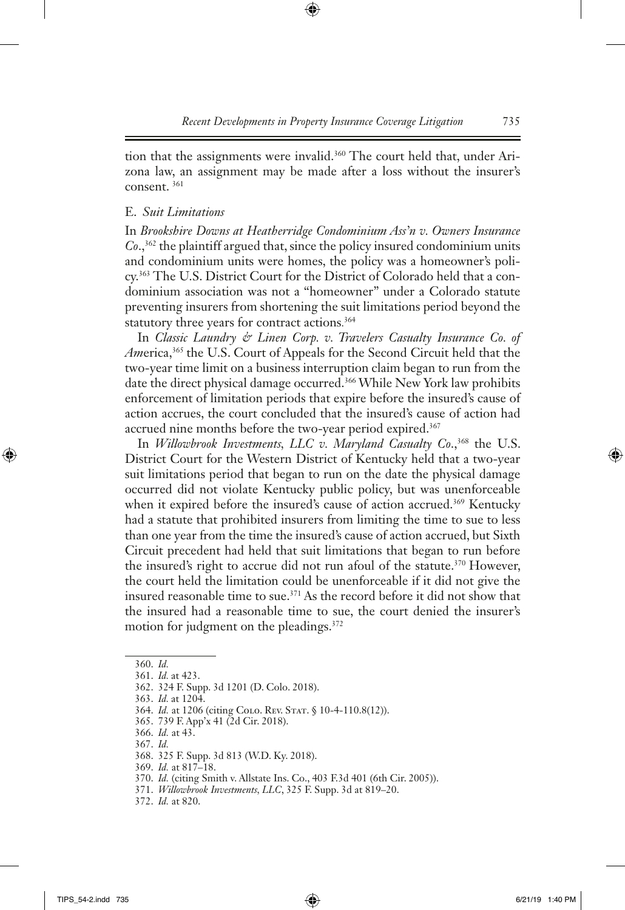tion that the assignments were invalid.<sup>360</sup> The court held that, under Arizona law, an assignment may be made after a loss without the insurer's consent. 361

# E. *Suit Limitations*

In *Brookshire Downs at Heatherridge Condominium Ass'n v. Owners Insurance Co*.,362 the plaintiff argued that, since the policy insured condominium units and condominium units were homes, the policy was a homeowner's policy.363 The U.S. District Court for the District of Colorado held that a condominium association was not a "homeowner" under a Colorado statute preventing insurers from shortening the suit limitations period beyond the statutory three years for contract actions. 364

In *Classic Laundry & Linen Corp. v. Travelers Casualty Insurance Co. of Am*erica,365 the U.S. Court of Appeals for the Second Circuit held that the two-year time limit on a business interruption claim began to run from the date the direct physical damage occurred.<sup>366</sup> While New York law prohibits enforcement of limitation periods that expire before the insured's cause of action accrues, the court concluded that the insured's cause of action had accrued nine months before the two-year period expired.<sup>367</sup>

In *Willowbrook Investments, LLC v. Maryland Casualty Co.*,<sup>368</sup> the U.S. District Court for the Western District of Kentucky held that a two-year suit limitations period that began to run on the date the physical damage occurred did not violate Kentucky public policy, but was unenforceable when it expired before the insured's cause of action accrued.<sup>369</sup> Kentucky had a statute that prohibited insurers from limiting the time to sue to less than one year from the time the insured's cause of action accrued, but Sixth Circuit precedent had held that suit limitations that began to run before the insured's right to accrue did not run afoul of the statute.<sup>370</sup> However, the court held the limitation could be unenforceable if it did not give the insured reasonable time to sue.371 As the record before it did not show that the insured had a reasonable time to sue, the court denied the insurer's motion for judgment on the pleadings.372

<sup>360.</sup> *Id.*

<sup>361.</sup> *Id.* at 423.

<sup>362.</sup> 324 F. Supp. 3d 1201 (D. Colo. 2018).

<sup>363.</sup> *Id.* at 1204.

<sup>364.</sup> *Id.* at 1206 (citing Colo. Rev. STAT. § 10-4-110.8(12)).

<sup>365.</sup> 739 F. App'x 41 (2d Cir. 2018).

<sup>366.</sup> *Id.* at 43.

<sup>367.</sup> *Id.*

<sup>368.</sup> 325 F. Supp. 3d 813 (W.D. Ky. 2018).

<sup>369.</sup> *Id.* at 817–18.

<sup>370.</sup> *Id.* (citing Smith v. Allstate Ins. Co., 403 F.3d 401 (6th Cir. 2005)).

<sup>371.</sup> *Willowbrook Investments, LLC*, 325 F. Supp. 3d at 819–20.

<sup>372.</sup> *Id.* at 820.